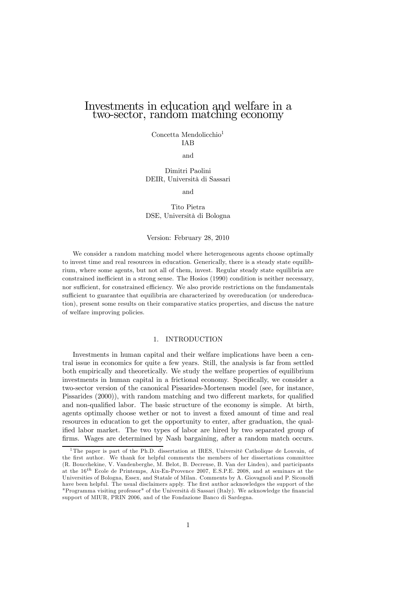# Investments in education and welfare in a two-sector, random matching economy

Concetta Mendolicchio<sup>1</sup> IAB

and

Dimitri Paolini DEIR, Università di Sassari

and

Tito Pietra DSE, Università di Bologna

#### Version: February 28, 2010

We consider a random matching model where heterogeneous agents choose optimally to invest time and real resources in education. Generically, there is a steady state equilibrium, where some agents, but not all of them, invest. Regular steady state equilibria are constrained inefficient in a strong sense. The Hosios (1990) condition is neither necessary, nor sufficient, for constrained efficiency. We also provide restrictions on the fundamentals sufficient to guarantee that equilibria are characterized by overeducation (or undereducation), present some results on their comparative statics properties, and discuss the nature of welfare improving policies.

## 1. INTRODUCTION

Investments in human capital and their welfare implications have been a central issue in economics for quite a few years. Still, the analysis is far from settled both empirically and theoretically. We study the welfare properties of equilibrium investments in human capital in a frictional economy. Specifically, we consider a two-sector version of the canonical Pissarides-Mortensen model (see, for instance, Pissarides (2000)), with random matching and two different markets, for qualified and non-qualified labor. The basic structure of the economy is simple. At birth, agents optimally choose wether or not to invest a fixed amount of time and real resources in education to get the opportunity to enter, after graduation, the qualified labor market. The two types of labor are hired by two separated group of firms. Wages are determined by Nash bargaining, after a random match occurs.

<sup>&</sup>lt;sup>1</sup>The paper is part of the Ph.D. dissertation at IRES, Universitè Catholique de Louvain, of the first author. We thank for helpful comments the members of her dissertations committee (R. Boucchekine, V. Vandenberghe, M. Belot, B. Decreuse, B. Van der Linden), and participants at the 16th Ecole de Printemps, Aix-En-Provence 2007, E.S.P.E. 2008, and at seminars at the Universities of Bologna, Essex, and Statale of Milan. Comments by A. Giovagnoli and P. Siconolfi have been helpful. The usual disclaimers apply. The first author acknowledges the support of the "Programma visiting professor" of the Università di Sassari (Italy). We acknowledge the financial support of MIUR, PRIN 2006, and of the Fondazione Banco di Sardegna.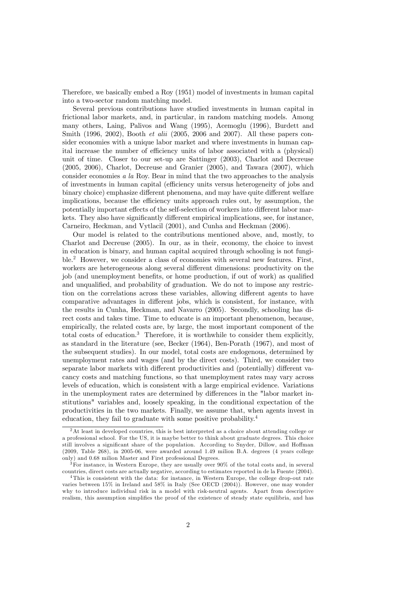Therefore, we basically embed a Roy (1951) model of investments in human capital into a two-sector random matching model.

Several previous contributions have studied investments in human capital in frictional labor markets, and, in particular, in random matching models. Among many others, Laing, Palivos and Wang (1995), Acemoglu (1996), Burdett and Smith (1996, 2002), Booth *et alii* (2005, 2006 and 2007). All these papers consider economies with a unique labor market and where investments in human capital increase the number of efficiency units of labor associated with a (physical) unit of time. Closer to our set-up are Sattinger (2003), Charlot and Decreuse (2005, 2006), Charlot, Decreuse and Granier (2005), and Tawara (2007), which consider economies a la Roy. Bear in mind that the two approaches to the analysis of investments in human capital (efficiency units versus heterogeneity of jobs and binary choice) emphasize different phenomena, and may have quite different welfare implications, because the efficiency units approach rules out, by assumption, the potentially important effects of the self-selection of workers into different labor markets. They also have significantly different empirical implications, see, for instance, Carneiro, Heckman, and Vytlacil (2001), and Cunha and Heckman (2006).

Our model is related to the contributions mentioned above, and, mostly, to Charlot and Decreuse (2005). In our, as in their, economy, the choice to invest in education is binary, and human capital acquired through schooling is not fungible.<sup>2</sup> However, we consider a class of economies with several new features. First, workers are heterogeneous along several different dimensions: productivity on the job (and unemployment benefits, or home production, if out of work) as qualified and unqualified, and probability of graduation. We do not to impose any restriction on the correlations across these variables, allowing different agents to have comparative advantages in different jobs, which is consistent, for instance, with the results in Cunha, Heckman, and Navarro (2005). Secondly, schooling has direct costs and takes time. Time to educate is an important phenomenon, because, empirically, the related costs are, by large, the most important component of the total costs of education.3 Therefore, it is worthwhile to consider them explicitly, as standard in the literature (see, Becker (1964), Ben-Porath (1967), and most of the subsequent studies). In our model, total costs are endogenous, determined by unemployment rates and wages (and by the direct costs). Third, we consider two separate labor markets with different productivities and (potentially) different vacancy costs and matching functions, so that unemployment rates may vary across levels of education, which is consistent with a large empirical evidence. Variations in the unemployment rates are determined by differences in the "labor market institutions" variables and, loosely speaking, in the conditional expectation of the productivities in the two markets. Finally, we assume that, when agents invest in education, they fail to graduate with some positive probability.<sup>4</sup>

<sup>2</sup>At least in developed countries, this is best interpreted as a choice about attending college or a professional school. For the US, it is maybe better to think about graduate degrees. This choice still involves a significant share of the population. According to Snyder, Dillow, and Hoffman (2009, Table 268), in 2005-06, were awarded around 1.49 milion B.A. degrees (4 years college only) and 0.68 milion Master and First professional Degrees.

<sup>&</sup>lt;sup>3</sup>For instance, in Western Europe, they are usually over 90% of the total costs and, in several countries, direct costs are actually negative, according to estimates reported in de la Fuente (2004).

<sup>4</sup>This is consistent with the data: for instance, in Western Europe, the college drop-out rate varies between 15% in Ireland and 58% in Italy (See OECD (2004)). However, one may wonder why to introduce individual risk in a model with risk-neutral agents. Apart from descriptive realism, this assumption simplifies the proof of the existence of steady state equilibria, and has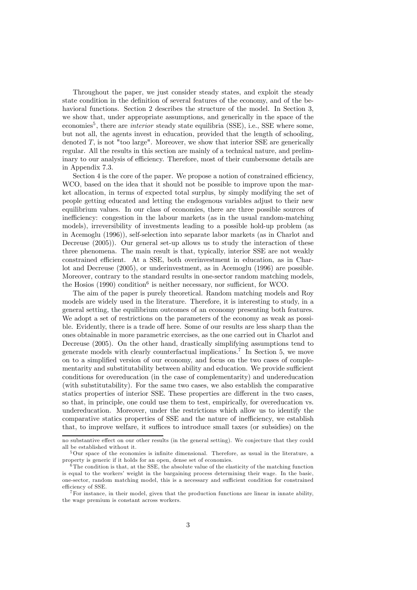Throughout the paper, we just consider steady states, and exploit the steady state condition in the definition of several features of the economy, and of the behavioral functions. Section 2 describes the structure of the model. In Section 3, we show that, under appropriate assumptions, and generically in the space of the economies<sup>5</sup>, there are *interior* steady state equilibria (SSE), i.e., SSE where some, but not all, the agents invest in education, provided that the length of schooling, denoted  $T$ , is not "too large". Moreover, we show that interior SSE are generically regular. All the results in this section are mainly of a technical nature, and preliminary to our analysis of efficiency. Therefore, most of their cumbersome details are in Appendix 7.3.

Section 4 is the core of the paper. We propose a notion of constrained efficiency, WCO, based on the idea that it should not be possible to improve upon the market allocation, in terms of expected total surplus, by simply modifying the set of people getting educated and letting the endogenous variables adjust to their new equilibrium values. In our class of economies, there are three possible sources of inefficiency: congestion in the labour markets (as in the usual random-matching models), irreversibility of investments leading to a possible hold-up problem (as in Acemoglu (1996)), self-selection into separate labor markets (as in Charlot and Decreuse (2005)). Our general set-up allows us to study the interaction of these three phenomena. The main result is that, typically, interior SSE are not weakly constrained efficient. At a SSE, both overinvestment in education, as in Charlot and Decreuse (2005), or underinvestment, as in Acemoglu (1996) are possible. Moreover, contrary to the standard results in one-sector random matching models, the Hosios  $(1990)$  condition<sup>6</sup> is neither necessary, nor sufficient, for WCO.

The aim of the paper is purely theoretical. Random matching models and Roy models are widely used in the literature. Therefore, it is interesting to study, in a general setting, the equilibrium outcomes of an economy presenting both features. We adopt a set of restrictions on the parameters of the economy as weak as possible. Evidently, there is a trade off here. Some of our results are less sharp than the ones obtainable in more parametric exercises, as the one carried out in Charlot and Decreuse (2005). On the other hand, drastically simplifying assumptions tend to generate models with clearly counterfactual implications.7 In Section 5, we move on to a simplified version of our economy, and focus on the two cases of complementarity and substitutability between ability and education. We provide sufficient conditions for overeducation (in the case of complementarity) and undereducation (with substitutability). For the same two cases, we also establish the comparative statics properties of interior SSE. These properties are different in the two cases, so that, in principle, one could use them to test, empirically, for overeducation vs. undereducation. Moreover, under the restrictions which allow us to identify the comparative statics properties of SSE and the nature of inefficiency, we establish that, to improve welfare, it suffices to introduce small taxes (or subsidies) on the

no substantive effect on our other results (in the general setting). We conjecture that they could all be established without it.

 $5\,\text{Our space of the economics is infinite dimensional. Therefore, as usual in the literature, a$ property is generic if it holds for an open, dense set of economies.

 $6$ The condition is that, at the SSE, the absolute value of the elasticity of the matching function is equal to the workers' weight in the bargaining process determining their wage. In the basic, one-sector, random matching model, this is a necessary and sufficient condition for constrained efficiency of SSE.

 $7$  For instance, in their model, given that the production functions are linear in innate ability, the wage premium is constant across workers.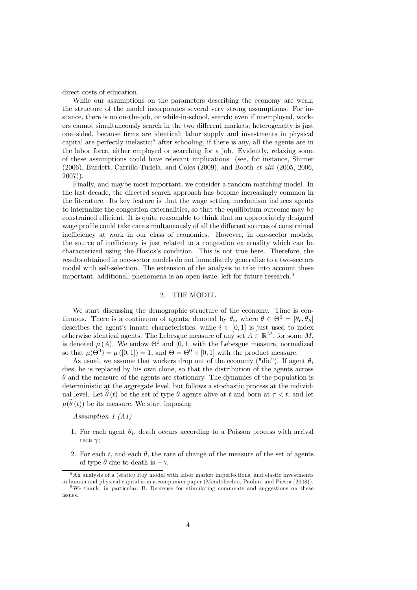direct costs of education.

While our assumptions on the parameters describing the economy are weak, the structure of the model incorporates several very strong assumptions. For instance, there is no on-the-job, or while-in-school, search; even if unemployed, workers cannot simultaneously search in the two different markets; heterogeneity is just one—sided, because firms are identical; labor supply and investments in physical capital are perfectly inelastic;<sup>8</sup> after schooling, if there is any, all the agents are in the labor force, either employed or searching for a job. Evidently, relaxing some of these assumptions could have relevant implications (see, for instance, Shimer (2006), Burdett, Carrillo-Tudela, and Coles (2009), and Booth et alii (2005, 2006, 2007)).

Finally, and maybe most important, we consider a random matching model. In the last decade, the directed search approach has become increasingly common in the literature. Its key feature is that the wage setting mechanism induces agents to internalize the congestion externalities, so that the equilibrium outcome may be constrained efficient. It is quite reasonable to think that an appropriately designed wage profile could take care simultaneously of all the different sources of constrained inefficiency at work in our class of economies. However, in one-sector models, the source of inefficiency is just related to a congestion externality which can be characterized using the Hosios's condition. This is not true here. Therefore, the results obtained in one-sector models do not immediately generalize to a two-sectors model with self-selection. The extension of the analysis to take into account these important, additional, phenomena is an open issue, left for future research.<sup>9</sup>

# 2. THE MODEL

We start discussing the demographic structure of the economy. Time is continuous. There is a continuum of agents, denoted by  $\theta_i$ , where  $\theta \in \Theta^0 = [\theta_\ell, \theta_h]$ describes the agent's innate characteristics, while  $i \in [0, 1]$  is just used to index otherwise identical agents. The Lebesgue measure of any set  $A \subset \mathbb{R}^M$ , for some M, is denoted  $\mu(A)$ . We endow  $\Theta^0$  and [0, 1] with the Lebesgue measure, normalized so that  $\mu(\Theta^0) = \mu([0, 1]) = 1$ , and  $\Theta = \Theta^0 \times [0, 1]$  with the product measure.

As usual, we assume that workers drop out of the economy ("die"). If agent  $\theta_i$ dies, he is replaced by his own clone, so that the distribution of the agents across  $\theta$  and the measure of the agents are stationary. The dynamics of the population is deterministic at the aggregate level, but follows a stochastic process at the individual level. Let  $\hat{\theta}(t)$  be the set of type  $\theta$  agents alive at t and born at  $\tau < t$ , and let  $\mu(\tilde{\theta}(t))$  be its measure. We start imposing

Assumption 1 (A1)

- 1. For each agent  $\theta_i$ , death occurs according to a Poisson process with arrival rate  $\gamma$ ;
- 2. For each t, and each  $\theta$ , the rate of change of the measure of the set of agents of type  $\theta$  due to death is  $-\gamma$ .

<sup>8</sup>An analysis of a (static) Roy model with labor market imperfections, and elastic investments in human and physical capital is in a companion paper (Mendolicchio, Paolini, and Pietra (2008)).

<sup>&</sup>lt;sup>9</sup>We thank, in particular, B. Decreuse for stimulating comments and suggestions on these issues.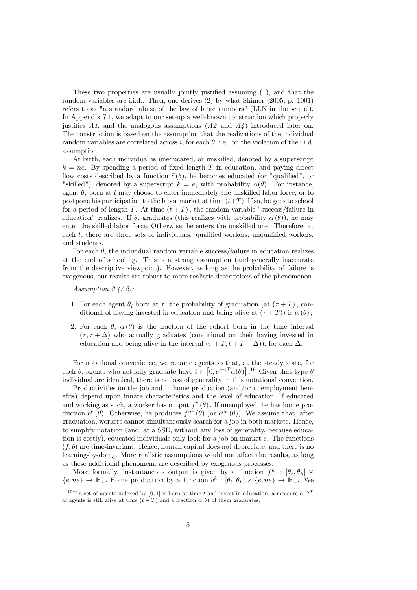These two properties are usually jointly justified assuming (1), and that the random variables are i.i.d.. Then, one derives (2) by what Shimer (2005, p. 1001) refers to as "a standard abuse of the law of large numbers" (LLN in the sequel). In Appendix 7.1, we adapt to our set-up a well-known construction which properly justifies  $A_1$ , and the analogous assumptions  $(A_2$  and  $A_4$ ) introduced later on. The construction is based on the assumption that the realizations of the individual random variables are correlated across i, for each  $\theta$ , i.e., on the violation of the i.i.d. assumption.

At birth, each individual is uneducated, or unskilled, denoted by a superscript  $k = ne$ . By spending a period of fixed length T in education, and paying direct flow costs described by a function  $\hat{c}(\theta)$ , he becomes educated (or "qualified", or "skilled"), denoted by a superscript  $k = e$ , with probability  $\alpha(\theta)$ . For instance, agent  $\theta_i$  born at t may choose to enter immediately the unskilled labor force, or to postpone his participation to the labor market at time  $(t+T)$ . If so, he goes to school for a period of length T. At time  $(t + T)$ , the random variable "success/failure in education" realizes. If  $\theta_i$  graduates (this realizes with probability  $\alpha(\theta)$ ), he may enter the skilled labor force. Otherwise, he enters the unskilled one. Therefore, at each t, there are three sets of individuals: qualified workers, unqualified workers, and students.

For each  $\theta$ , the individual random variable success/failure in education realizes at the end of schooling. This is a strong assumption (and generally inaccurate from the descriptive viewpoint). However, as long as the probability of failure is exogenous, our results are robust to more realistic descriptions of the phenomenon.

Assumption 2 (A2):

- 1. For each agent  $\theta_i$  born at  $\tau$ , the probability of graduation (at  $(\tau + T)$ , conditional of having invested in education and being alive at  $(\tau + T)$ ) is  $\alpha(\theta)$ ;
- 2. For each  $\theta$ ,  $\alpha$  ( $\theta$ ) is the fraction of the cohort born in the time interval  $(\tau, \tau + \Delta)$  who actually graduates (conditional on their having invested in education and being alive in the interval  $(\tau + T, t + T + \Delta)$ , for each  $\Delta$ .

For notational convenience, we rename agents so that, at the steady state, for each  $\theta$ , agents who actually graduate have  $i \in [0, e^{-\gamma T} \alpha(\theta)]$ .<sup>10</sup> Given that type  $\theta$ individual are identical, there is no loss of generality in this notational convention.

Productivities on the job and in home production (and/or unemployment benefits) depend upon innate characteristics and the level of education. If educated and working as such, a worker has output  $f^e(\theta)$ . If unemployed, he has home production  $b^e(\theta)$ . Otherwise, he produces  $f^{ne}(\theta)$  (or  $b^{ne}(\theta)$ ). We assume that, after graduation, workers cannot simultaneously search for a job in both markets. Hence, to simplify notation (and, at a SSE, without any loss of generality, because education is costly), educated individuals only look for a job on market e. The functions  $(f, b)$  are time-invariant. Hence, human capital does not depreciate, and there is no learning-by-doing. More realistic assumptions would not affect the results, as long as these additional phenomena are described by exogenous processes.

More formally, instantaneous output is given by a function  $f^k : [\theta_\ell, \theta_h] \times$  ${e, ne} \rightarrow \mathbb{R}_+$ . Home production by a function  $b^k : [\theta_\ell, \theta_h] \times \{e, ne\} \rightarrow \mathbb{R}_+$ . We

<sup>&</sup>lt;sup>10</sup>If a set of agents indexed by [0,1] is born at time t and invest in education, a measure  $e^{-\gamma T}$ of agents is still alive at time  $(t+T)$  and a fraction  $\alpha(\theta)$  of them graduates.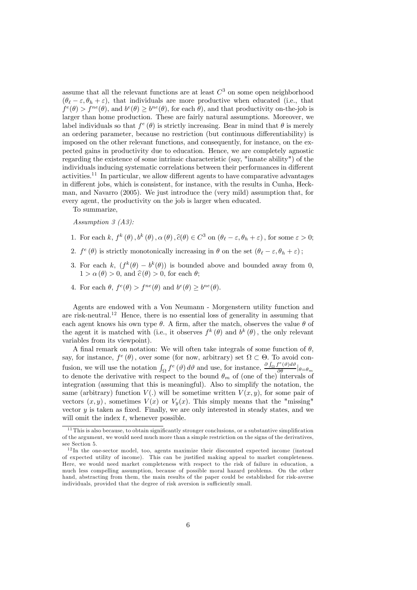assume that all the relevant functions are at least  $C<sup>3</sup>$  on some open neighborhood  $(\theta_{\ell} - \varepsilon, \theta_h + \varepsilon)$ , that individuals are more productive when educated (i.e., that  $f^e(\theta) > f^{ne}(\theta)$ , and  $b^e(\theta) \geq b^{ne}(\theta)$ , for each  $\theta$ ), and that productivity on-the-job is larger than home production. These are fairly natural assumptions. Moreover, we label individuals so that  $f^e(\theta)$  is strictly increasing. Bear in mind that  $\theta$  is merely an ordering parameter, because no restriction (but continuous differentiability) is imposed on the other relevant functions, and consequently, for instance, on the expected gains in productivity due to education. Hence, we are completely agnostic regarding the existence of some intrinsic characteristic (say, "innate ability") of the individuals inducing systematic correlations between their performances in different activities.11 In particular, we allow different agents to have comparative advantages in different jobs, which is consistent, for instance, with the results in Cunha, Heckman, and Navarro (2005). We just introduce the (very mild) assumption that, for every agent, the productivity on the job is larger when educated.

To summarize,

Assumption 3 (A3):

- 1. For each k,  $f^k(\theta)$ ,  $b^k(\theta)$ ,  $\alpha(\theta)$ ,  $\hat{c}(\theta) \in C^3$  on  $(\theta_\ell \varepsilon, \theta_h + \varepsilon)$ , for some  $\varepsilon > 0$ ;
- 2.  $f^e(\theta)$  is strictly monotonically increasing in  $\theta$  on the set  $(\theta_\ell \varepsilon, \theta_h + \varepsilon)$ ;
- 3. For each k,  $(f^k(\theta) b^k(\theta))$  is bounded above and bounded away from 0,  $1 > \alpha(\theta) > 0$ , and  $\hat{c}(\theta) > 0$ , for each  $\theta$ ;
- 4. For each  $\theta$ ,  $f^e(\theta) > f^{ne}(\theta)$  and  $b^e(\theta) \geq b^{ne}(\theta)$ .

Agents are endowed with a Von Neumann - Morgenstern utility function and are risk-neutral.<sup>12</sup> Hence, there is no essential loss of generality in assuming that each agent knows his own type  $\theta$ . A firm, after the match, observes the value  $\theta$  of the agent it is matched with (i.e., it observes  $f^k(\theta)$  and  $b^k(\theta)$ , the only relevant variables from its viewpoint).

A final remark on notation: We will often take integrals of some function of  $\theta$ , say, for instance,  $f^e(\theta)$ , over some (for now, arbitrary) set  $\Omega \subset \Theta$ . To avoid confusion, we will use the notation  $\int_{\Omega} f^e(\theta) d\theta$  and use, for instance,  $\frac{\partial \int_{\Omega} f^e(\theta) d\theta}{\partial \theta} |_{\theta=\theta_m}$ to denote the derivative with respect to the bound  $\theta_m$  of (one of the) intervals of integration (assuming that this is meaningful). Also to simplify the notation, the same (arbitrary) function  $V(.)$  will be sometime written  $V(x, y)$ , for some pair of vectors  $(x, y)$ , sometimes  $V(x)$  or  $V_y(x)$ . This simply means that the "missing" vector  $y$  is taken as fixed. Finally, we are only interested in steady states, and we will omit the index  $t$ , whenever possible.

<sup>&</sup>lt;sup>11</sup>This is also because, to obtain significantly stronger conclusions, or a substantive simplification of the argument, we would need much more than a simple restriction on the signs of the derivatives, see Section 5.

 $12$ In the one-sector model, too, agents maximize their discounted expected income (instead of expected utility of income). This can be justified making appeal to market completeness. Here, we would need market completeness with respect to the risk of failure in education, a much less compelling assumption, because of possible moral hazard problems. On the other hand, abstracting from them, the main results of the paper could be established for risk-averse individuals, provided that the degree of risk aversion is sufficiently small.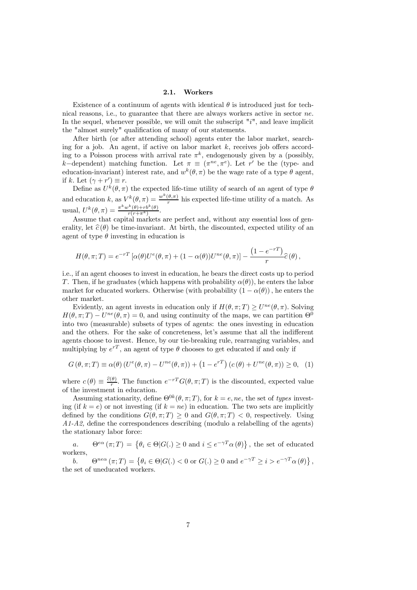#### 2.1. Workers

Existence of a continuum of agents with identical  $\theta$  is introduced just for technical reasons, i.e., to guarantee that there are always workers active in sector ne. In the sequel, whenever possible, we will omit the subscript  $"i"$ , and leave implicit the "almost surely" qualification of many of our statements.

After birth (or after attending school) agents enter the labor market, searching for a job. An agent, if active on labor market  $k$ , receives job offers according to a Poisson process with arrival rate  $\pi^k$ , endogenously given by a (possibly, k–dependent) matching function. Let  $\pi \equiv (\pi^{ne}, \pi^e)$ . Let r' be the (type- and education-invariant) interest rate, and  $w^k(\theta, \pi)$  be the wage rate of a type  $\theta$  agent, if k. Let  $(\gamma + r') \equiv r$ .

Define as  $U^k(\theta, \pi)$  the expected life-time utility of search of an agent of type  $\theta$ and education k, as  $V^k(\theta, \pi) = \frac{w^k(\theta, \pi)}{r}$  his expected life-time utility of a match. As usual,  $U^k(\theta, \pi) = \frac{\pi^k w^k(\theta) + rb^k(\theta)}{r(r+\pi^k)}$ .

Assume that capital markets are perfect and, without any essential loss of generality, let  $\hat{\epsilon}(\theta)$  be time-invariant. At birth, the discounted, expected utility of an agent of type  $\theta$  investing in education is

$$
H(\theta, \pi; T) = e^{-rT} \left[ \alpha(\theta) U^e(\theta, \pi) + (1 - \alpha(\theta)) U^{ne}(\theta, \pi) \right] - \frac{(1 - e^{-rT})}{r} \widehat{c}(\theta),
$$

i.e., if an agent chooses to invest in education, he bears the direct costs up to period T. Then, if he graduates (which happens with probability  $\alpha(\theta)$ ), he enters the labor market for educated workers. Otherwise (with probability  $(1 - \alpha(\theta))$ ), he enters the other market.

Evidently, an agent invests in education only if  $H(\theta, \pi; T) \geq U^{ne}(\theta, \pi)$ . Solving  $H(\theta, \pi; T) - U^{ne}(\theta, \pi) = 0$ , and using continuity of the maps, we can partition  $\Theta^0$ into two (measurable) subsets of types of agents: the ones investing in education and the others. For the sake of concreteness, let's assume that all the indifferent agents choose to invest. Hence, by our tie-breaking rule, rearranging variables, and multiplying by  $e^{rT}$ , an agent of type  $\theta$  chooses to get educated if and only if

$$
G(\theta, \pi; T) \equiv \alpha(\theta) \left( U^e(\theta, \pi) - U^{ne}(\theta, \pi) \right) + \left( 1 - e^{rT} \right) \left( c(\theta) + U^{ne}(\theta, \pi) \right) \ge 0, \tag{1}
$$

where  $c(\theta) \equiv \frac{\partial(\theta)}{r}$ . The function  $e^{-rT}G(\theta, \pi; T)$  is the discounted, expected value of the investment in education.

Assuming stationarity, define  $\Theta^{0k}(\theta, \pi; T)$ , for  $k = e$ , ne, the set of types investing (if  $k = e$ ) or not investing (if  $k = ne$ ) in education. The two sets are implicitly defined by the conditions  $G(\theta, \pi; T) > 0$  and  $G(\theta, \pi; T) < 0$ , respectively. Using  $A1-A2$ , define the correspondences describing (modulo a relabelling of the agents) the stationary labor force:

a.  $\Theta^{e\alpha}(\pi;T) = \{ \theta_i \in \Theta | G(.) \ge 0 \text{ and } i \le e^{-\gamma T} \alpha(\theta) \},\$  the set of educated workers,

b.  $\Theta^{ne\alpha}(\pi;T) = \left\{ \theta_i \in \Theta | G(.) < 0 \text{ or } G(.) \ge 0 \text{ and } e^{-\gamma T} \ge i > e^{-\gamma T} \alpha(\theta) \right\},\$ the set of uneducated workers.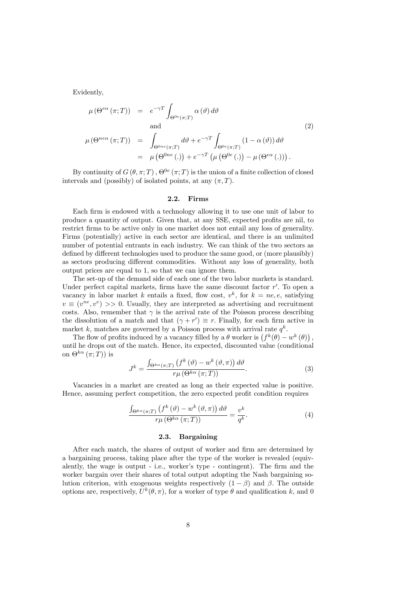Evidently,

$$
\mu(\Theta^{e\alpha}(\pi;T)) = e^{-\gamma T} \int_{\Theta^{0e}(\pi;T)} \alpha(\vartheta) d\vartheta
$$
  
and  

$$
\mu(\Theta^{ne\alpha}(\pi;T)) = \int_{\Theta^{0ne}(\pi;T)} d\vartheta + e^{-\gamma T} \int_{\Theta^{0e}(\pi;T)} (1 - \alpha(\vartheta)) d\vartheta
$$

$$
= \mu(\Theta^{0ne}(.)) + e^{-\gamma T} (\mu(\Theta^{0e}(.)) - \mu(\Theta^{e\alpha}(.))) .
$$
 (2)

By continuity of  $G(\theta, \pi; T)$ ,  $\Theta^{0e}(\pi; T)$  is the union of a finite collection of closed intervals and (possibly) of isolated points, at any  $(\pi, T)$ .

#### 2.2. Firms

Each firm is endowed with a technology allowing it to use one unit of labor to produce a quantity of output. Given that, at any SSE, expected profits are nil, to restrict firms to be active only in one market does not entail any loss of generality. Firms (potentially) active in each sector are identical, and there is an unlimited number of potential entrants in each industry. We can think of the two sectors as defined by different technologies used to produce the same good, or (more plausibly) as sectors producing different commodities. Without any loss of generality, both output prices are equal to 1, so that we can ignore them.

The set-up of the demand side of each one of the two labor markets is standard. Under perfect capital markets, firms have the same discount factor  $r'$ . To open a vacancy in labor market k entails a fixed, flow cost,  $v^k$ , for  $k = ne, e$ , satisfying  $v \equiv (v^{ne}, v^e) >> 0$ . Usually, they are interpreted as advertising and recruitment costs. Also, remember that  $\gamma$  is the arrival rate of the Poisson process describing the dissolution of a match and that  $(\gamma + r') \equiv r$ . Finally, for each firm active in market k, matches are governed by a Poisson process with arrival rate  $q^k$ .

The flow of profits induced by a vacancy filled by a  $\theta$  worker is  $(f^k(\theta) - w^k(\theta))$ , until he drops out of the match. Hence, its expected, discounted value (conditional on  $\Theta^{k\alpha}(\pi;T)$  is

$$
J^{k} = \frac{\int_{\Theta^{k\alpha}(\pi;T)} \left( f^{k} \left( \vartheta \right) - w^{k} \left( \vartheta, \pi \right) \right) d\vartheta}{r\mu \left( \Theta^{k\alpha} \left( \pi;T \right) \right)}.
$$
\n(3)

Vacancies in a market are created as long as their expected value is positive. Hence, assuming perfect competition, the zero expected profit condition requires

$$
\frac{\int_{\Theta^{k\alpha}(\pi;T)} \left(f^k\left(\vartheta\right) - w^k\left(\vartheta,\pi\right)\right) d\vartheta}{r\mu\left(\Theta^{k\alpha}\left(\pi;T\right)\right)} = \frac{v^k}{q^k}.\tag{4}
$$

# 2.3. Bargaining

After each match, the shares of output of worker and firm are determined by a bargaining process, taking place after the type of the worker is revealed (equivalently, the wage is output - i.e., worker's type - contingent). The firm and the worker bargain over their shares of total output adopting the Nash bargaining solution criterion, with exogenous weights respectively  $(1 - \beta)$  and  $\beta$ . The outside options are, respectively,  $U^k(\theta, \pi)$ , for a worker of type  $\theta$  and qualification k, and 0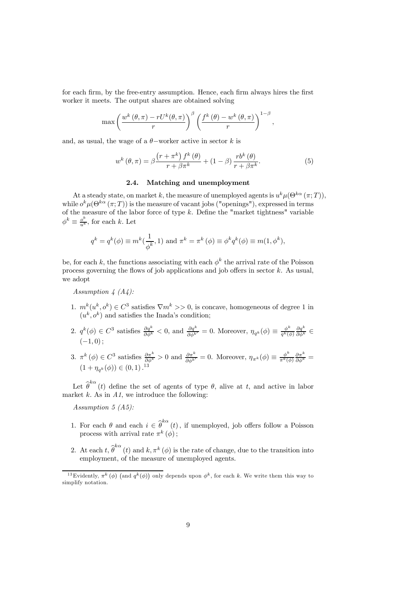for each firm, by the free-entry assumption. Hence, each firm always hires the first worker it meets. The output shares are obtained solving

$$
\max \left( \frac{w^k(\theta, \pi) - rU^k(\theta, \pi)}{r} \right)^\beta \left( \frac{f^k(\theta) - w^k(\theta, \pi)}{r} \right)^{1-\beta},
$$

and, as usual, the wage of a  $\theta$ -worker active in sector k is

$$
w^{k}(\theta,\pi) = \beta \frac{\left(r + \pi^{k}\right) f^{k}(\theta)}{r + \beta \pi^{k}} + (1 - \beta) \frac{rb^{k}(\theta)}{r + \beta \pi^{k}}.
$$
\n<sup>(5)</sup>

# 2.4. Matching and unemployment

At a steady state, on market k, the measure of unemployed agents is  $u^k \mu(\Theta^{k\alpha}(\pi;T)),$ while  $o^k\mu(\Theta^{k\alpha}(\pi;T))$  is the measure of vacant jobs ("openings"), expressed in terms of the measure of the labor force of type  $k$ . Define the "market tightness" variable  $\phi^k \equiv \frac{o^k}{u^k}$ , for each k. Let

$$
q^{k} = q^{k}(\phi) \equiv m^{k}(\frac{1}{\phi^{k}}, 1)
$$
 and  $\pi^{k} = \pi^{k}(\phi) \equiv \phi^{k}q^{k}(\phi) \equiv m(1, \phi^{k}),$ 

be, for each k, the functions associating with each  $\phi^k$  the arrival rate of the Poisson process governing the flows of job applications and job offers in sector k. As usual, we adopt

Assumption  $\frac{1}{4}$  (A $\frac{1}{4}$ ):

- 1.  $m^k(u^k, o^k) \in C^3$  satisfies  $\nabla m^k >> 0$ , is concave, homogeneous of degree 1 in  $(u^k, o^k)$  and satisfies the Inada's condition;
- 2.  $q^k(\phi) \in C^3$  satisfies  $\frac{\partial q^k}{\partial \phi^k} < 0$ , and  $\frac{\partial q^k}{\partial \phi^{k'}} = 0$ . Moreover,  $\eta_{q^k}(\phi) \equiv \frac{\phi^k}{q^k(\phi)} \frac{\partial q^k}{\partial \phi^k} \in$  $(-1, 0);$
- 3.  $\pi^k(\phi) \in C^3$  satisfies  $\frac{\partial \pi^k}{\partial \phi^k} > 0$  and  $\frac{\partial \pi^k}{\partial \phi^{k'}} = 0$ . Moreover,  $\eta_{\pi^k}(\phi) \equiv \frac{\phi^k}{\pi^k(\phi)} \frac{\partial \pi^k}{\partial \phi^k} =$  $(1 + \eta_{q^k}(\phi)) \in (0, 1)$ .<sup>13</sup>

Let  $\hat{\theta}^{k\alpha}(t)$  define the set of agents of type  $\theta$ , alive at t, and active in labor market  $k$ . As in  $A1$ , we introduce the following:

Assumption 5 (A5):

- 1. For each  $\theta$  and each  $i \in \hat{\theta}^{k\alpha}(t)$ , if unemployed, job offers follow a Poisson process with arrival rate  $\pi^{k}(\phi)$ ;
- 2. At each  $t, \widehat{\theta}^{k\alpha} (t)$  and  $k, \pi^k (\phi)$  is the rate of change, due to the transition into employment, of the measure of unemployed agents.

<sup>&</sup>lt;sup>13</sup>Evidently,  $\pi^k(\phi)$  (and  $q^k(\phi)$ ) only depends upon  $\phi^k$ , for each k. We write them this way to simplify notation.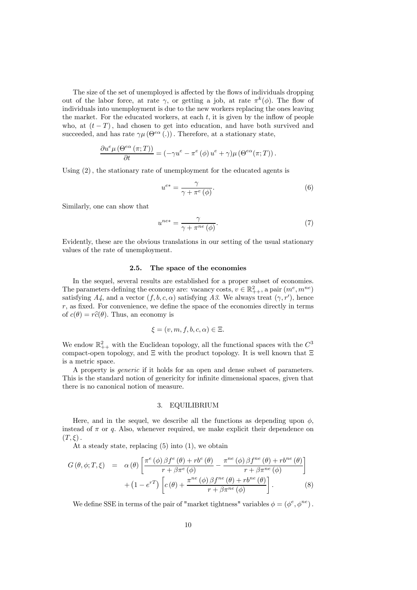The size of the set of unemployed is affected by the flows of individuals dropping out of the labor force, at rate  $\gamma$ , or getting a job, at rate  $\pi^k(\phi)$ . The flow of individuals into unemployment is due to the new workers replacing the ones leaving the market. For the educated workers, at each  $t$ , it is given by the inflow of people who, at  $(t-T)$ , had chosen to get into education, and have both survived and succeeded, and has rate  $\gamma\mu(\Theta^{e\alpha}$  (.)). Therefore, at a stationary state,

$$
\frac{\partial u^e \mu(\Theta^{e\alpha}(\pi;T))}{\partial t} = (-\gamma u^e - \pi^e(\phi) u^e + \gamma) \mu(\Theta^{e\alpha}(\pi;T)).
$$

Using (2), the stationary rate of unemployment for the educated agents is

$$
u^{e*} = \frac{\gamma}{\gamma + \pi^e(\phi)}.\tag{6}
$$

Similarly, one can show that

$$
u^{ne*} = \frac{\gamma}{\gamma + \pi^{ne}(\phi)}.\tag{7}
$$

Evidently, these are the obvious translations in our setting of the usual stationary values of the rate of unemployment.

#### 2.5. The space of the economies

In the sequel, several results are established for a proper subset of economies. The parameters defining the economy are: vacancy costs,  $v \in \mathbb{R}^2_{++}$ , a pair  $(m^e, m^{ne})$ satisfying  $A_4$ , and a vector  $(f, b, c, \alpha)$  satisfying A3. We always treat  $(\gamma, r')$ , hence  $r$ , as fixed. For convenience, we define the space of the economies directly in terms of  $c(\theta) = r\hat{c}(\theta)$ . Thus, an economy is

$$
\xi = (v, m, f, b, c, \alpha) \in \Xi.
$$

We endow  $\mathbb{R}^2_{++}$  with the Euclidean topology, all the functional spaces with the  $C^3$ compact-open topology, and  $\Xi$  with the product topology. It is well known that  $\Xi$ is a metric space.

A property is generic if it holds for an open and dense subset of parameters. This is the standard notion of genericity for infinite dimensional spaces, given that there is no canonical notion of measure.

# 3. EQUILIBRIUM

Here, and in the sequel, we describe all the functions as depending upon  $\phi$ , instead of  $\pi$  or q. Also, whenever required, we make explicit their dependence on  $(T,\xi)$ .

At a steady state, replacing  $(5)$  into  $(1)$ , we obtain

$$
G(\theta, \phi; T, \xi) = \alpha(\theta) \left[ \frac{\pi^{e}(\phi) \beta f^{e}(\theta) + r b^{e}(\theta)}{r + \beta \pi^{e}(\phi)} - \frac{\pi^{ne}(\phi) \beta f^{ne}(\theta) + r b^{ne}(\theta)}{r + \beta \pi^{ne}(\phi)} \right] + (1 - e^{rT}) \left[ c(\theta) + \frac{\pi^{ne}(\phi) \beta f^{ne}(\theta) + r b^{ne}(\theta)}{r + \beta \pi^{ne}(\phi)} \right].
$$
 (8)

We define SSE in terms of the pair of "market tightness" variables  $\phi = (\phi^e, \phi^{ne})$ .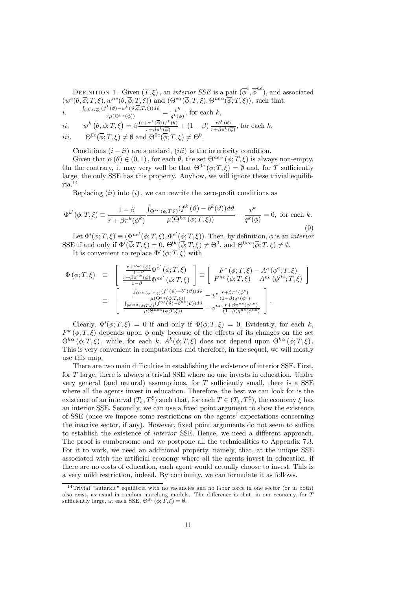DEFINITION 1. Given  $(T, \xi)$ , an *interior SSE* is a pair  $(\overline{\phi}^e, \overline{\phi}^{ne})$ , and associated  $(w^e(\theta, \overline{\phi}; T, \xi), w^{ne}(\theta, \overline{\phi}; T, \xi))$  and  $(\Theta^{ea}(\overline{\phi}; T, \xi), \Theta^{nea}(\overline{\phi}; T, \xi))$ , such that:<br>  $\frac{\int_{\Theta^{ka}(\overline{\phi})}(f^k(\theta)-w^k(\theta, \overline{\phi}; T, \xi))d\theta}{\int_{\Theta^{ka}(\overline{\phi})}(f^k(\theta)-w^k(\theta, \overline{\phi}; T, \xi))d\theta}$ 

i. 
$$
\frac{\int_{\Theta^{k\alpha}(\overline{\phi})}(f^{\kappa}(\theta)-w^{\kappa}(\theta,\phi;T,\xi))d\theta}{r\mu(\Theta^{k\alpha}(\overline{\phi}))}=\frac{v^k}{q^k(\overline{\phi})}, \text{ for each } k,
$$

*ii.* 
$$
w^k\left(\theta,\overline{\phi};T,\xi\right) = \beta \frac{(r+\pi^k(\overline{\phi}))f^k(\theta)}{r+\beta\pi^k(\overline{\phi})} + (1-\beta) \frac{rb^k(\theta)}{r+\beta\pi^k(\overline{\phi})}, \text{ for each } k,
$$

*iii.*  $\Theta^{0e}(\phi; T, \xi) \neq \emptyset$  and  $\Theta^{0e}(\phi; T, \xi) \neq \Theta^{0}$ .

Conditions  $(i - ii)$  are standard,  $(iii)$  is the interiority condition.

Given that  $\alpha(\theta) \in (0,1)$ , for each  $\theta$ , the set  $\Theta^{ne\alpha}(\phi;T,\xi)$  is always non-empty. On the contrary, it may very well be that  $\Theta^{0e}(\phi; T, \xi) = \emptyset$  and, for T sufficiently large, the only SSE has this property. Anyhow, we will ignore these trivial equilibria.<sup>14</sup>

Replacing  $(ii)$  into  $(i)$ , we can rewrite the zero-profit conditions as

$$
\Phi^{k'}(\phi;T,\xi) \equiv \frac{1-\beta}{r+\beta\pi^k(\phi^k)} \frac{\int_{\Theta^{k\alpha}(\phi;T,\xi)} (f^k(\vartheta) - b^k(\vartheta))d\vartheta}{\mu(\Theta^{k\alpha}(\phi;T,\xi))} - \frac{v^k}{q^k(\phi)} = 0, \text{ for each } k. \tag{9}
$$

Let  $\Phi'(\phi; T, \xi) \equiv (\Phi^{ne'}(\phi; T, \xi), \Phi^{e'}(\phi; T, \xi))$ . Then, by definition,  $\overline{\phi}$  is an *interior* SSE if and only if  $\Phi'(\overline{\phi}; T, \xi) = 0$ ,  $\Theta^{0e}(\overline{\phi}; T, \xi) \neq \Theta^{0}$ , and  $\Theta^{0ne}(\overline{\phi}; T, \xi) \neq \emptyset$ .

It is convenient to replace  $\Phi'(\phi; T, \xi)$  with

$$
\begin{array}{rcl} \Phi\left(\phi;T,\xi\right) & \equiv & \left[ \begin{array}{c} \frac{r+\beta\pi^e(\phi)}{1-\beta}\Phi^{e'}\left(\phi;T,\xi\right) \\ \frac{r+\beta\pi^{n\bar{e}}(\phi)}{1-\beta}\Phi^{ne'}\left(\phi;T,\xi\right) \end{array} \right] \equiv \left[ \begin{array}{c} F^e\left(\phi;T,\xi\right)-A^e\left(\phi^e;T,\xi\right) \\ F^{ne}\left(\phi;T,\xi\right)-A^{ne}\left(\phi^{ne};T,\xi\right) \end{array} \right] \\ & \equiv & \left[ \begin{array}{c} \frac{\int_{\Theta^{ea}\left(\phi;T,\xi\right)}\left(f^e\left(\theta\right)-b^e\left(\theta\right)\right)d\theta}{\mu\left(\Theta^{ea}\left(\phi;T,\xi\right)\right)}-v^e\frac{r+\beta\pi^e\left(\phi^e\right)}{(1-\beta)q^e\left(\theta^e\right)} \\ \frac{\int_{\Theta^{ne\alpha}\left(\phi;T,\xi\right)}\left(f^{\bar{ne}\left(\theta\right)}-b^{\bar{ne}\left(\theta\right)}\right)d\theta}{\mu\left(\Theta^{ne\alpha}\left(\phi;T,\xi\right)\right)}-v^{ne}\frac{r+\beta\pi^{ne}\left(\phi^{ne}\right)}{(1-\beta)q^ne\left(\phi^{ne}\right)} \end{array} \right]. \end{array}
$$

Clearly,  $\Phi'(\phi; T, \xi)=0$  if and only if  $\Phi(\phi; T, \xi)=0$ . Evidently, for each k,  $F^k(\phi;T,\xi)$  depends upon  $\phi$  only because of the effects of its changes on the set  $\Theta^{k\alpha}(\phi;T,\xi)$ , while, for each k,  $A^k(\phi;T,\xi)$  does not depend upon  $\Theta^{k\alpha}(\phi;T,\xi)$ . This is very convenient in computations and therefore, in the sequel, we will mostly use this map.

There are two main difficulties in establishing the existence of interior SSE. First, for T large, there is always a trivial SSE where no one invests in education. Under very general (and natural) assumptions, for  $T$  sufficiently small, there is a SSE where all the agents invest in education. Therefore, the best we can look for is the existence of an interval  $(T_{\xi}, T^{\xi})$  such that, for each  $T \in (T_{\xi}, T^{\xi})$ , the economy  $\xi$  has an interior SSE. Secondly, we can use a fixed point argument to show the existence of SSE (once we impose some restrictions on the agents' expectations concerning the inactive sector, if any). However, fixed point arguments do not seem to suffice to establish the existence of interior SSE. Hence, we need a different approach. The proof is cumbersome and we postpone all the technicalities to Appendix 7.3. For it to work, we need an additional property, namely, that, at the unique SSE associated with the artificial economy where all the agents invest in education, if there are no costs of education, each agent would actually choose to invest. This is a very mild restriction, indeed. By continuity, we can formulate it as follows.

 $14$ Trivial "autarkic" equilibria with no vacancies and no labor force in one sector (or in both) also exist, as usual in random matching models. The difference is that, in our economy, for T sufficiently large, at each SSE,  $\Theta^{0e}(\phi; T, \xi) = \emptyset$ .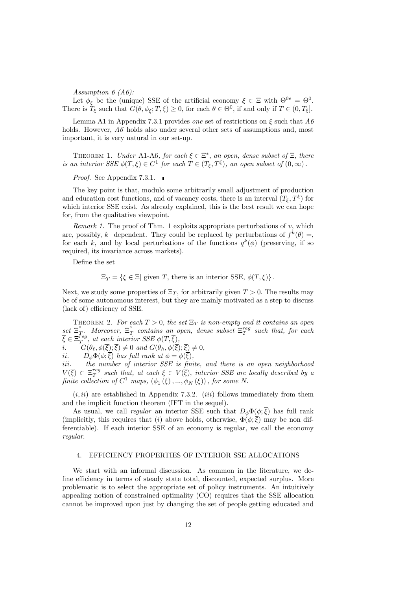Assumption 6 (A6):

Let  $\phi_{\xi}$  be the (unique) SSE of the artificial economy  $\xi \in \Xi$  with  $\Theta^{0e} = \Theta^0$ . There is  $\tilde{T}_{\xi}$  such that  $G(\theta, \phi_{\xi}; T, \xi) \geq 0$ , for each  $\theta \in \Theta^0$ , if and only if  $T \in (0, T_{\xi}]$ .

Lemma A1 in Appendix 7.3.1 provides *one* set of restrictions on  $\xi$  such that  $A\theta$ holds. However,  $A\theta$  holds also under several other sets of assumptions and, most important, it is very natural in our set-up.

THEOREM 1. Under A1-A6, for each  $\xi \in \Xi^*$ , an open, dense subset of  $\Xi$ , there is an interior SSE  $\phi(T,\xi) \in C^1$  for each  $T \in (T_{\xi}, T^{\xi})$ , an open subset of  $(0,\infty)$ .

Proof. See Appendix 7.3.1.

The key point is that, modulo some arbitrarily small adjustment of production and education cost functions, and of vacancy costs, there is an interval  $(T_{\epsilon}, T^{\xi})$  for which interior SSE exist. As already explained, this is the best result we can hope for, from the qualitative viewpoint.

Remark 1. The proof of Thm. 1 exploits appropriate perturbations of  $v$ , which are, possibly, k–dependent. They could be replaced by perturbations of  $f^k(\theta) =$ , for each k, and by local perturbations of the functions  $q^k(\phi)$  (preserving, if so required, its invariance across markets).

Define the set

 $\Xi_T = \{\xi \in \Xi | \text{ given } T, \text{ there is an interior SSE}, \phi(T,\xi)\}.$ 

Next, we study some properties of  $\Xi_T$ , for arbitrarily given  $T > 0$ . The results may be of some autonomous interest, but they are mainly motivated as a step to discuss (lack of) efficiency of SSE.

THEOREM 2. For each  $T > 0$ , the set  $\Xi_T$  is non-empty and it contains an open  $\text{set } \Xi_T^{\circ}$ . Moreover,  $\Xi_T^{\circ}$  contains an open, dense subset  $\Xi_T^{reg}$  such that, for each  $\overline{\xi} \in \Xi^{reg}_{T}$ , at each interior SSE  $\phi(T, \overline{\xi})$ ,

i.  $G(\theta_{\ell}, \phi(\overline{\xi}); \overline{\xi}) \neq 0$  and  $G(\theta_h, \phi(\overline{\xi}); \overline{\xi}) \neq 0$ ,<br>ii.  $D_{\phi} \Phi(\phi; \overline{\xi})$  has full rank at  $\phi = \phi(\overline{\xi})$ ,

 $D_{\phi}\Phi(\phi;\overline{\xi})$  has full rank at  $\phi = \phi(\overline{\xi}),$ 

iii. the number of interior SSE is finite, and there is an open neighborhood  $V(\overline{\xi}) \subset \Xi_T^{reg}$  such that, at each  $\xi \in V(\overline{\xi})$ , interior SSE are locally described by a finite collection of  $C^1$  maps,  $(\phi_1(\xi), ..., \phi_N(\xi))$ , for some N.

 $(i, ii)$  are established in Appendix 7.3.2.  $(iii)$  follows immediately from them and the implicit function theorem (IFT in the sequel).

As usual, we call *regular* an interior SSE such that  $D_{\phi} \Phi(\phi; \overline{\xi})$  has full rank (implicitly, this requires that (i) above holds, otherwise,  $\Phi(\phi;\overline{\xi})$  may be non differentiable). If each interior SSE of an economy is regular, we call the economy regular.

# 4. EFFICIENCY PROPERTIES OF INTERIOR SSE ALLOCATIONS

We start with an informal discussion. As common in the literature, we define efficiency in terms of steady state total, discounted, expected surplus. More problematic is to select the appropriate set of policy instruments. An intuitively appealing notion of constrained optimality (CO) requires that the SSE allocation cannot be improved upon just by changing the set of people getting educated and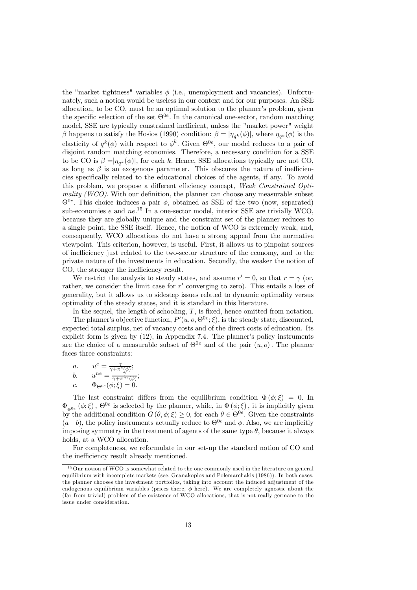the "market tightness" variables  $\phi$  (i.e., unemployment and vacancies). Unfortunately, such a notion would be useless in our context and for our purposes. An SSE allocation, to be CO, must be an optimal solution to the planner's problem, given the specific selection of the set  $\Theta^{0e}$ . In the canonical one-sector, random matching model, SSE are typically constrained inefficient, unless the "market power" weight β happens to satisfy the Hosios (1990) condition:  $\beta = |\eta_{\alpha^k}(\phi)|$ , where  $\eta_{\alpha^k}(\phi)$  is the elasticity of  $q^k(\phi)$  with respect to  $\phi^k$ . Given  $\Theta^{0e}$ , our model reduces to a pair of disjoint random matching economies. Therefore, a necessary condition for a SSE to be CO is  $\beta = |\eta_{\sigma^k}(\phi)|$ , for each k. Hence, SSE allocations typically are not CO, as long as  $\beta$  is an exogenous parameter. This obscures the nature of inefficiencies specifically related to the educational choices of the agents, if any. To avoid this problem, we propose a different efficiency concept, Weak Constrained Optimality (WCO). With our definition, the planner can choose any measurable subset  $\Theta^{0e}$ . This choice induces a pair  $\phi$ , obtained as SSE of the two (now, separated) sub-economies  $e$  and  $ne^{-15}$  In a one-sector model, interior SSE are trivially WCO, because they are globally unique and the constraint set of the planner reduces to a single point, the SSE itself. Hence, the notion of WCO is extremely weak, and, consequently, WCO allocations do not have a strong appeal from the normative viewpoint. This criterion, however, is useful. First, it allows us to pinpoint sources of inefficiency just related to the two-sector structure of the economy, and to the private nature of the investments in education. Secondly, the weaker the notion of CO, the stronger the inefficiency result.

We restrict the analysis to steady states, and assume  $r' = 0$ , so that  $r = \gamma$  (or, rather, we consider the limit case for  $r'$  converging to zero). This entails a loss of generality, but it allows us to sidestep issues related to dynamic optimality versus optimality of the steady states, and it is standard in this literature.

In the sequel, the length of schooling,  $T$ , is fixed, hence omitted from notation. The planner's objective function,  $P'(u, o, \Theta^{0e}; \xi)$ , is the steady state, discounted, expected total surplus, net of vacancy costs and of the direct costs of education. Its explicit form is given by (12), in Appendix 7.4. The planner's policy instruments are the choice of a measurable subset of  $\Theta^{0e}$  and of the pair  $(u, o)$ . The planner faces three constraints:

a. 
$$
u^e = \frac{\gamma}{\gamma + \pi^e(\phi)};
$$
  
\nb.  $u^{ne} = \frac{\gamma}{\gamma + \pi^{ne}(\phi)};$   
\nc.  $\Phi_{\Theta^{0e}}(\phi; \xi) = 0.$ 

The last constraint differs from the equilibrium condition  $\Phi(\phi;\xi)=0$ . In  $\Phi_{\Theta^{0e}}(\phi;\xi)$ ,  $\Theta^{0e}$  is selected by the planner, while, in  $\Phi(\phi;\xi)$ , it is implicitly given by the additional condition  $G(\theta, \phi; \xi) \geq 0$ , for each  $\theta \in \Theta^{0e}$ . Given the constraints  $(a-b)$ , the policy instruments actually reduce to  $\Theta^{0e}$  and  $\phi$ . Also, we are implicitly imposing symmetry in the treatment of agents of the same type  $\theta$ , because it always holds, at a WCO allocation.

For completeness, we reformulate in our set-up the standard notion of CO and the inefficiency result already mentioned.

<sup>&</sup>lt;sup>15</sup> Our notion of WCO is somewhat related to the one commonly used in the literature on general equilibrium with incomplete markets (see, Geanakoplos and Polemarchakis (1986)). In both cases, the planner chooses the investment portfolios, taking into account the induced adjustment of the endogenous equilibrium variables (prices there,  $\phi$  here). We are completely agnostic about the (far from trivial) problem of the existence of WCO allocations, that is not really germane to the issue under consideration.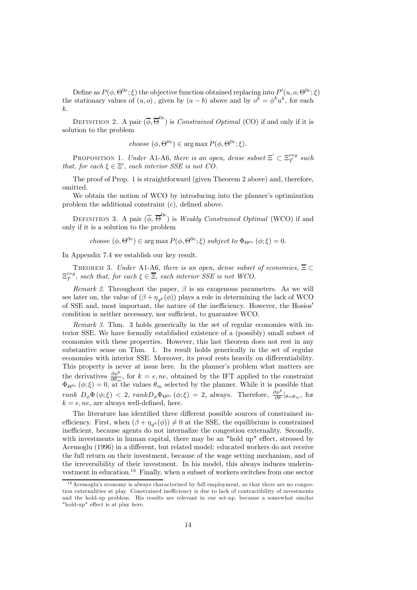Define as  $P(\phi, \Theta^{0e}; \xi)$  the objective function obtained replacing into  $P'(u, o, \Theta^{0e}; \xi)$ the stationary values of  $(u, o)$ , given by  $(a - b)$  above and by  $o^k = \phi^k u^k$ , for each k.

DEFINITION 2. A pair  $(\overline{\phi}, \overline{\Theta}^{0e})$  is *Constrained Optimal* (CO) if and only if it is solution to the problem

choose  $(\phi, \Theta^{0e}) \in \arg \max P(\phi, \Theta^{0e}; \xi)$ .

PROPOSITION 1. Under A1-A6, there is an open, dense subset  $\Xi' \subset \Xi^{reg}_T$  such that, for each  $\xi \in \Xi'$ , each interior SSE is not CO.

The proof of Prop. 1 is straightforward (given Theorem 2 above) and, therefore, omitted.

We obtain the notion of WCO by introducing into the planner's optimization problem the additional constraint (c), defined above.

DEFINITION 3. A pair  $(\overline{\phi}, \overline{\Theta}^{0e})$  is *Weakly Constrained Optimal* (WCO) if and only if it is a solution to the problem

choose  $(\phi, \Theta^{0e}) \in \arg \max P(\phi, \Theta^{0e}; \xi)$  subject to  $\Phi_{\Theta^{0e}}(\phi; \xi)=0$ .

In Appendix 7.4 we establish our key result.

THEOREM 3. Under A1-A6, there is an open, dense subset of economies,  $\overline{\Xi} \subset$  $\Xi_T^{reg}$ , such that, for each  $\xi \in \overline{\Xi}$ , each interior SSE is not WCO.

*Remark 2.* Throughout the paper,  $\beta$  is an exogenous parameters. As we will see later on, the value of  $(\beta + \eta_{q^k}(\phi))$  plays a role in determining the lack of WCO of SSE and, most important, the nature of the inefficiency. However, the Hosios' condition is neither necessary, nor sufficient, to guarantee WCO.

Remark 3. Thm. 3 holds generically in the set of regular economies with interior SSE. We have formally established existence of a (possibly) small subset of economies with these properties. However, this last theorem does not rest in any substantive sense on Thm. 1. Its result holds generically in the set of regular economies with interior SSE. Moreover, its proof rests heavily on differentiability. This property is never at issue here. In the planner's problem what matters are the derivatives  $\frac{\partial \phi^k}{\partial \theta_m}$ , for  $k = e$ , ne, obtained by the IFT applied to the constraint  $\Phi_{\Theta^{0e}}(\phi;\xi)=0$ , at the values  $\theta_m$  selected by the planner. While it is possible that rank  $D_{\phi} \Phi (\phi; \xi) < 2$ ,  $rank D_{\phi} \Phi_{\Theta^{0e}} (\phi; \xi) = 2$ , always. Therefore,  $\frac{\partial \phi^k}{\partial \theta} |_{\theta = \theta_m}$ , for  $k = e$ , *ne*, are always well-defined, here.

The literature has identified three different possible sources of constrained inefficiency. First, when  $(\beta + \eta_{\alpha^k}(\phi)) \neq 0$  at the SSE, the equilibrium is constrained inefficient, because agents do not internalize the congestion externality. Secondly, with investments in human capital, there may be an "hold up" effect, stressed by Acemoglu (1996) in a different, but related model: educated workers do not receive the full return on their investment, because of the wage setting mechanism, and of the irreversibility of their investment. In his model, this always induces underinvestment in education.16 Finally, when a subset of workers switches from one sector

 $16$  Acemoglu's economy is always characterized by full employment, so that there are no congestion externalities at play. Constrained inefficiency is due to lack of contractibility of investments and the hold-up problem. His results are relevant in our set-up, because a somewhat similar "hold-up" effect is at play here.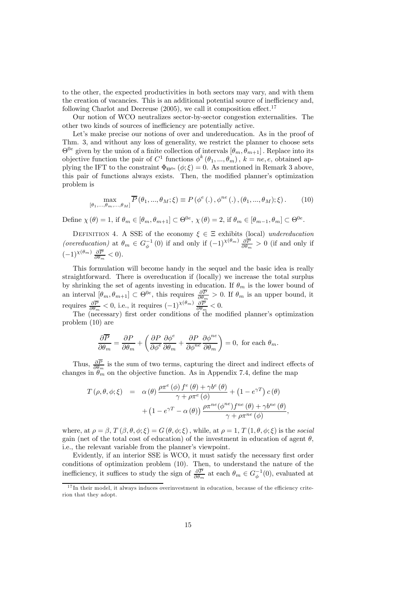to the other, the expected productivities in both sectors may vary, and with them the creation of vacancies. This is an additional potential source of inefficiency and, following Charlot and Decreuse  $(2005)$ , we call it composition effect.<sup>17</sup>

Our notion of WCO neutralizes sector-by-sector congestion externalities. The other two kinds of sources of inefficiency are potentially active.

Let's make precise our notions of over and undereducation. As in the proof of Thm. 3, and without any loss of generality, we restrict the planner to choose sets  $\Theta^{0e}$  given by the union of a finite collection of intervals  $[\theta_m, \theta_{m+1}]$ . Replace into its objective function the pair of  $C^1$  functions  $\phi^k(\theta_1, ..., \theta_m)$ ,  $k = ne, e$ , obtained applying the IFT to the constraint  $\Phi_{\Theta^{0e}}(\phi;\xi)=0$ . As mentioned in Remark 3 above, this pair of functions always exists. Then, the modified planner's optimization problem is

$$
\max_{[\theta_1, ..., \theta_m, ..., \theta_M]} \overline{P}(\theta_1, ..., \theta_M; \xi) \equiv P(\phi^e(.), \phi^{ne}(.) , (\theta_1, ..., \theta_M); \xi).
$$
 (10)

Define  $\chi(\theta)=1$ , if  $\theta_m \in [\theta_m, \theta_{m+1}] \subset \Theta^{0e}$ ,  $\chi(\theta)=2$ , if  $\theta_m \in [\theta_{m-1}, \theta_m] \subset \Theta^{0e}$ .

DEFINITION 4. A SSE of the economy  $\xi \in \Xi$  exhibits (local) undereducation (overeducation) at  $\theta_m \in G_{\phi}^{-1}(0)$  if and only if  $(-1)^{\chi(\theta_m)} \frac{\partial \overline{P}}{\partial \theta_m} > 0$  (if and only if  $(-1)^{\chi(\theta_m)}\frac{\partial \overline{P}}{\partial \theta_m} < 0.$ 

This formulation will become handy in the sequel and the basic idea is really straightforward. There is overeducation if (locally) we increase the total surplus by shrinking the set of agents investing in education. If  $\theta_m$  is the lower bound of an interval  $[\theta_m, \theta_{m+1}] \subset \Theta^{0e}$ , this requires  $\frac{\partial P}{\partial \theta_m} > 0$ . If  $\theta_m$  is an upper bound, it requires  $\frac{\partial \overline{P}}{\partial \theta_m} < 0$ , i.e., it requires  $(-1)^{\chi(\theta_m)} \frac{\partial \overline{P}}{\partial \theta_m} < 0$ .

The (necessary) first order conditions of the modified planner's optimization problem (10) are

$$
\frac{\partial \overline{P}}{\partial \theta_m} = \frac{\partial P}{\partial \theta_m} + \left( \frac{\partial P}{\partial \phi^e} \frac{\partial \phi^e}{\partial \theta_m} + \frac{\partial P}{\partial \phi^{ne}} \frac{\partial \phi^{ne}}{\partial \theta_m} \right) = 0, \text{ for each } \theta_m.
$$

Thus,  $\frac{\partial P}{\partial \theta_m}$  is the sum of two terms, capturing the direct and indirect effects of changes in  $\theta_m$  on the objective function. As in Appendix 7.4, define the map

$$
T(\rho, \theta, \phi; \xi) = \alpha(\theta) \frac{\rho \pi^{e}(\phi) f^{e}(\theta) + \gamma b^{e}(\theta)}{\gamma + \rho \pi^{e}(\phi)} + (1 - e^{\gamma T}) c(\theta) + (1 - e^{\gamma T} - \alpha(\theta)) \frac{\rho \pi^{ne}(\phi^{ne}) f^{ne}(\theta) + \gamma b^{ne}(\theta)}{\gamma + \rho \pi^{ne}(\phi)},
$$

where, at  $\rho = \beta$ ,  $T(\beta, \theta, \phi; \xi) = G(\theta, \phi; \xi)$ , while, at  $\rho = 1$ ,  $T(1, \theta, \phi; \xi)$  is the social gain (net of the total cost of education) of the investment in education of agent  $\theta$ , i.e., the relevant variable from the planner's viewpoint.

Evidently, if an interior SSE is WCO, it must satisfy the necessary first order conditions of optimization problem (10). Then, to understand the nature of the inefficiency, it suffices to study the sign of  $\frac{\partial P}{\partial \theta_m}$  at each  $\theta_m \in G_{\phi}^{-1}(0)$ , evaluated at

<sup>&</sup>lt;sup>17</sup>In their model, it always induces overinvestment in education, because of the efficiency criterion that they adopt.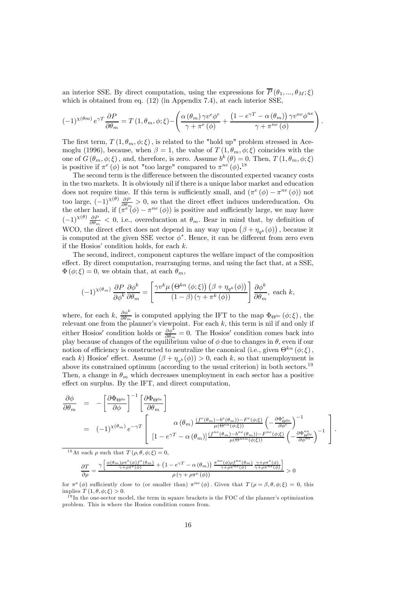an interior SSE. By direct computation, using the expressions for  $\overline{P}(\theta_1, ..., \theta_M; \xi)$ which is obtained from eq. (12) (in Appendix 7.4), at each interior SSE,

$$
(-1)^{\chi(\theta m)} e^{\gamma T} \frac{\partial P}{\partial \theta_m} = T(1, \theta_m, \phi; \xi) - \left( \frac{\alpha(\theta_m) \gamma v^e \phi^e}{\gamma + \pi^e(\phi)} + \frac{(1 - e^{\gamma T} - \alpha(\theta_m)) \gamma v^{ne} \phi^{ne}}{\gamma + \pi^{ne}(\phi)} \right).
$$

The first term,  $T(1, \theta_m, \phi; \xi)$ , is related to the "hold up" problem stressed in Acemoglu (1996), because, when  $\beta = 1$ , the value of  $T(1, \theta_m, \phi; \xi)$  coincides with the one of  $G(\theta_m, \phi; \xi)$ , and, therefore, is zero. Assume  $b^k(\theta)=0$ . Then,  $T(1, \theta_m, \phi; \xi)$ is positive if  $\pi^e(\phi)$  is not "too large" compared to  $\pi^{ne}(\phi)$ .<sup>18</sup>

The second term is the difference between the discounted expected vacancy costs in the two markets. It is obviously nil if there is a unique labor market and education does not require time. If this term is sufficiently small, and  $(\pi^e (\phi) - \pi^{ne} (\phi))$  not too large,  $(-1)^{\chi(\theta)} \frac{\partial P}{\partial \theta_m} > 0$ , so that the direct effect induces undereducation. On the other hand, if  $(\pi^{e''}(\phi) - \pi^{ne}(\phi))$  is positive and sufficiently large, we may have  $(-1)^{\chi(\theta)}\frac{\partial P}{\partial \theta_m}$  < 0, i.e., overeducation at  $\theta_m$ . Bear in mind that, by definition of WCO, the direct effect does not depend in any way upon  $(\beta + \eta_{q^k}(\phi))$ , because it is computed at the given SSE vector  $\phi^*$ . Hence, it can be different from zero even if the Hosios' condition holds, for each  $k$ .

The second, indirect, component captures the welfare impact of the composition effect. By direct computation, rearranging terms, and using the fact that, at a SSE,  $\Phi(\phi;\xi)=0$ , we obtain that, at each  $\theta_m$ ,

$$
(-1)^{\chi(\theta_m)}\frac{\partial P}{\partial \phi^k}\frac{\partial \phi^k}{\partial \theta_m} = \left[\frac{\gamma v^k \mu\left(\Theta^{k\alpha}\left(\phi;\xi\right)\right)\left(\beta + \eta_{q^k}(\phi)\right)}{\left(1 - \beta\right)\left(\gamma + \pi^k\left(\phi\right)\right)}\right]\frac{\partial \phi^k}{\partial \theta_m}, \text{ each } k,
$$

where, for each k,  $\frac{\partial \phi^k}{\partial \theta_m}$  is computed applying the IFT to the map  $\Phi_{\Theta^{0e}}(\phi;\xi)$ , the relevant one from the planner's viewpoint. For each k, this term is nil if and only if either Hosios' condition holds or  $\frac{\partial \phi^k}{\partial \theta_m} = 0$ . The Hosios' condition comes back into play because of changes of the equilibrium value of  $\phi$  due to changes in  $\theta$ , even if our notion of efficiency is constructed to neutralize the canonical (i.e., given  $\Theta^{k\alpha}(\phi;\xi)$ , each k) Hosios' effect. Assume  $(\beta + \eta_{a^k}(\phi)) > 0$ , each k, so that unemployment is above its constrained optimum (according to the usual criterion) in both sectors.<sup>19</sup> Then, a change in  $\theta_m$  which decreases unemployment in each sector has a positive effect on surplus. By the IFT, and direct computation,

$$
\frac{\partial \phi}{\partial \theta_m} = -\left[\frac{\partial \Phi_{\Theta^{0e}}}{\partial \phi}\right]^{-1} \left[\frac{\partial \Phi_{\Theta^{0e}}}{\partial \theta_m}\right]
$$
\n
$$
= (-1)^{\chi(\theta_m)} e^{-\gamma T} \left[\begin{array}{c} \alpha(\theta_m) \frac{(f^e(\theta_m) - b^e(\theta_m)) - F^e(\phi;\xi)}{\mu(\Theta^{ea}(\phi;\xi))} \left(-\frac{\partial \Phi_{\Theta^{0e}}^e}{\partial \phi^e}\right)^{-1} \\ \frac{1}{\mu(\Theta^{ne\alpha}(\phi;\xi))} \left(-\frac{\partial \Phi_{\Theta^{0e}}^e}{\partial \phi^{ne}}\right)^{-1} \end{array}\right].
$$

<sup>18</sup>At each *ρ* such that  $T(\rho, \theta, \phi; \xi) = 0$ .

$$
\frac{\partial T}{\partial \rho} = \frac{\gamma\left[\frac{\alpha(\theta_{m})\rho\pi^{e}(\phi)f^{e}(\theta_{m})}{\gamma+\rho\pi^{e}(\phi)}+\left(1-e^{\gamma T}-\alpha\left(\theta_{m}\right)\right)\frac{\pi^{ne}(\phi)\rho f^{ne}(\theta_{m})}{\gamma+\rho\pi^{ne}(\phi)}\frac{\gamma+\rho\pi^{e}(\phi)}{\gamma+\rho\pi^{ne}(\phi)}\right]}{\rho\left(\gamma+\rho\pi^{e}\left(\phi\right)\right)} > 0
$$

for  $\pi^e$  ( $\phi$ ) sufficiently close to (or smaller than)  $\pi^{ne}$  ( $\phi$ ). Given that  $T(\rho = \beta, \theta, \phi; \xi) = 0$ , this implies  $T(1, \theta, \phi; \xi) > 0$ .

<sup>19</sup>In the one-sector model, the term in square brackets is the FOC of the planner's optimization problem. This is where the Hosios condition comes from.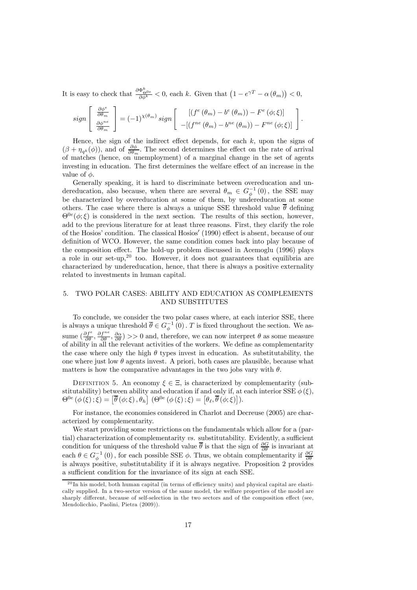It is easy to check that  $\frac{\partial \Phi_{\Theta^0 e}^k}{\partial \phi^k} < 0$ , each k. Given that  $(1 - e^{\gamma T} - \alpha(\theta_m)) < 0$ ,

$$
sign\left[\begin{array}{c}\frac{\partial \phi^e}{\partial \theta_m} \\ \frac{\partial \phi^{ne}}{\partial \theta_m}\end{array}\right] = (-1)^{\chi(\theta_m)} sign\left[\begin{array}{c}\left[\left(f^e(\theta_m) - b^e(\theta_m)\right) - F^e(\phi;\xi)\right] \\ -\left[\left(f^{ne}(\theta_m) - b^{ne}(\theta_m)\right) - F^{ne}(\phi;\xi)\right]\end{array}\right].
$$

Hence, the sign of the indirect effect depends, for each  $k$ , upon the signs of  $(\beta + \eta_{q^k}(\phi))$ , and of  $\frac{\partial \phi}{\partial \theta_m}$ . The second determines the effect on the rate of arrival of matches (hence, on unemployment) of a marginal change in the set of agents investing in education. The first determines the welfare effect of an increase in the value of  $\phi$ .

Generally speaking, it is hard to discriminate between overeducation and undereducation, also because, when there are several  $\theta_m \in G_{\phi}^{-1}(0)$ , the SSE may be characterized by overeducation at some of them, by undereducation at some others. The case where there is always a unique SSE threshold value  $\bar{\theta}$  defining  $\Theta^{0e}(\phi;\xi)$  is considered in the next section. The results of this section, however, add to the previous literature for at least three reasons. First, they clarify the role of the Hosios' condition. The classical Hosios' (1990) effect is absent, because of our definition of WCO. However, the same condition comes back into play because of the composition effect. The hold-up problem discussed in Acemoglu (1996) plays a role in our set-up,  $20$  too. However, it does not guarantees that equilibria are characterized by undereducation, hence, that there is always a positive externality related to investments in human capital.

# 5. TWO POLAR CASES: ABILITY AND EDUCATION AS COMPLEMENTS AND SUBSTITUTES

To conclude, we consider the two polar cases where, at each interior SSE, there is always a unique threshold  $\overline{\theta} \in G_{\phi}^{-1}(0)$ . T is fixed throughout the section. We assume  $(\frac{\partial f^e}{\partial \theta}, \frac{\partial f^{ne}}{\partial \theta}, \frac{\partial \alpha}{\partial \theta}) >> 0$  and, therefore, we can now interpret  $\theta$  as some measure of ability in all the relevant activities of the workers. We define as complementarity the case where only the high  $\theta$  types invest in education. As substitutability, the one where just low  $\theta$  agents invest. A priori, both cases are plausible, because what matters is how the comparative advantages in the two jobs vary with  $\theta$ .

DEFINITION 5. An economy  $\xi \in \Xi$ , is characterized by complementarity (substitutability) between ability and education if and only if, at each interior SSE  $\phi(\xi)$ ,  $\Theta^{0e}\left(\phi\left(\xi\right);\xi\right)=\left[\overline{\theta}\left(\phi;\xi\right),\theta_{h}\right]\,(\Theta^{0e}\left(\phi\left(\xi\right);\xi\right)=\left[\theta_{\ell},\overline{\theta}\left(\phi;\xi\right)\right]).$ 

For instance, the economies considered in Charlot and Decreuse (2005) are characterized by complementarity.

We start providing some restrictions on the fundamentals which allow for a (partial) characterization of complementarity vs. substitutability. Evidently, a sufficient condition for uniquess of the threshold value  $\bar{\theta}$  is that the sign of  $\frac{\partial G}{\partial \theta}$  is invariant at each  $\theta \in G_{\phi}^{-1}(0)$ , for each possible SSE  $\phi$ . Thus, we obtain complementarity if  $\frac{\partial G}{\partial \theta}$ is always positive, substitutability if it is always negative. Proposition 2 provides a sufficient condition for the invariance of its sign at each SSE.

 $^{20}$ In his model, both human capital (in terms of efficiency units) and physical capital are elastically supplied. In a two-sector version of the same model, the welfare properties of the model are sharply different, because of self-selection in the two sectors and of the composition effect (see, Mendolicchio, Paolini, Pietra (2009)).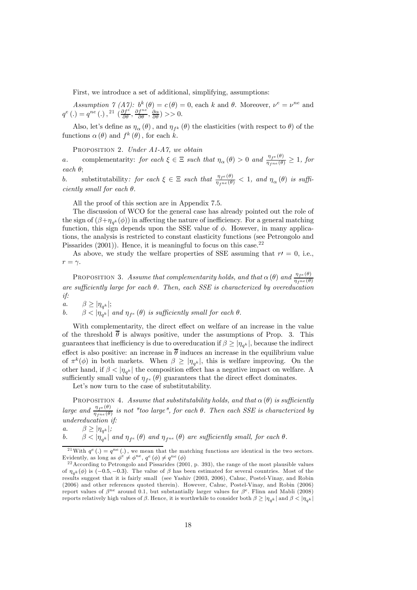First, we introduce a set of additional, simplifying, assumptions:

Assumption 7 (A7):  $b^k(\theta) = c(\theta) = 0$ , each k and  $\theta$ . Moreover,  $\nu^e = \nu^{ne}$  and  $q^e(.) = q^{ne}(.) , \frac{21}{\theta} \left( \frac{\partial f^e}{\partial \theta}, \frac{\partial f^{ne}}{\partial \theta}, \frac{\partial \alpha}{\partial \theta} \right) >> 0.$ 

Also, let's define as  $\eta_{\alpha}(\theta)$ , and  $\eta_{f^k}(\theta)$  the elasticities (with respect to  $\theta$ ) of the functions  $\alpha(\theta)$  and  $f^k(\theta)$ , for each k.

PROPOSITION 2. Under A1-A7, we obtain

a. complementarity: for each  $\xi \in \Xi$  such that  $\eta_{\alpha}(\theta) > 0$  and  $\frac{\eta_{f^e}(\theta)}{\eta_{f^{\text{ne}}}(\theta)} \ge 1$ , for each θ;

b. substitutability: for each  $\xi \in \Xi$  such that  $\frac{\eta_{f^e}(\theta)}{\eta_{f^{ne}}(\theta)} < 1$ , and  $\eta_\alpha(\theta)$  is sufficiently small for each  $\theta$ .

All the proof of this section are in Appendix 7.5.

The discussion of WCO for the general case has already pointed out the role of the sign of  $(\beta+\eta_{\alpha^k}(\phi))$  in affecting the nature of inefficiency. For a general matching function, this sign depends upon the SSE value of  $\phi$ . However, in many applications, the analysis is restricted to constant elasticity functions (see Petrongolo and Pissarides  $(2001)$ ). Hence, it is meaningful to focus on this case.<sup>22</sup>

As above, we study the welfare properties of SSE assuming that  $r=0$ , i.e.,  $r = \gamma$ .

PROPOSITION 3. Assume that complementarity holds, and that  $\alpha(\theta)$  and  $\frac{\eta_{fe}(\theta)}{\eta_{f^{ne}}(\theta)}$ are sufficiently large for each  $\theta$ . Then, each SSE is characterized by overeducation if:

a.  $\beta \ge |\eta_{q^k}|;$ 

b.  $\beta < |\eta_{q^k}|$  and  $\eta_{f^e}(\theta)$  is sufficiently small for each  $\theta$ .

With complementarity, the direct effect on welfare of an increase in the value of the threshold  $\bar{\theta}$  is always positive, under the assumptions of Prop. 3. This guarantees that inefficiency is due to overeducation if  $\beta \geq |\eta_{q^k}|$ , because the indirect effect is also positive: an increase in  $\bar{\theta}$  induces an increase in the equilibrium value of  $\pi^k(\phi)$  in both markets. When  $\beta \geq |\eta_{q^k}|$ , this is welfare improving. On the other hand, if  $\beta < |\eta_{q^k}|$  the composition effect has a negative impact on welfare. A sufficiently small value of  $\eta_{fe}(\theta)$  guarantees that the direct effect dominates.

Let's now turn to the case of substitutability.

PROPOSITION 4. Assume that substitutability holds, and that  $\alpha(\theta)$  is sufficiently large and  $\frac{\eta_{fe}(\theta)}{\eta_{f^{ne}}(\theta)}$  is not "too large", for each  $\theta$ . Then each SSE is characterized by undereducation if:

a.  $\beta \geq |\eta_{a^k}|;$ 

b. 
$$
\beta < |\eta_{q^k}|
$$
 and  $\eta_{f^e}(\theta)$  and  $\eta_{f^{ne}}(\theta)$  are sufficiently small, for each  $\theta$ .

<sup>&</sup>lt;sup>21</sup>With  $q^e(.) = q^{ne}(.)$ , we mean that the matching functions are identical in the two sectors. Evidently, as long as  $\phi^e \neq \phi^{ne}$ ,  $q^e (\phi) \neq q^{ne} (\phi)$ <br><sup>22</sup>According to Petrongolo and Pissarides (2001, p. 393), the range of the most plausible values

of  $\eta_{\alpha k}(\phi)$  is (-0.5, -0.3). The value of  $\beta$  has been estimated for several countries. Most of the results suggest that it is fairly small (see Yashiv (2003, 2006), Cahuc, Postel-Vinay, and Robin (2006) and other references quoted therein). However, Cahuc, Postel-Vinay, and Robin (2006) report values of  $\beta^{ne}$  around 0.1, but substantially larger values for  $\beta^{e}$ . Flinn and Mabli (2008) reports relatively high values of β. Hence, it is worthwhile to consider both  $β ≥ |η_{ak}|$  and  $β < |η_{ak}|$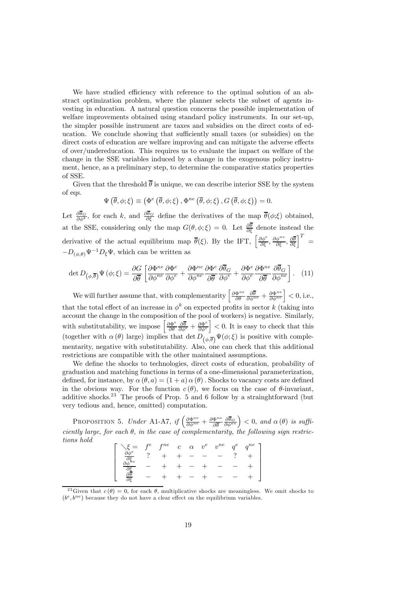We have studied efficiency with reference to the optimal solution of an abstract optimization problem, where the planner selects the subset of agents investing in education. A natural question concerns the possible implementation of welfare improvements obtained using standard policy instruments. In our set-up, the simpler possible instrument are taxes and subsidies on the direct costs of education. We conclude showing that sufficiently small taxes (or subsidies) on the direct costs of education are welfare improving and can mitigate the adverse effects of over/undereducation. This requires us to evaluate the impact on welfare of the change in the SSE variables induced by a change in the exogenous policy instrument, hence, as a preliminary step, to determine the comparative statics properties of SSE.

Given that the threshold  $\overline{\theta}$  is unique, we can describe interior SSE by the system of eqs.

$$
\Psi\left(\overline{\theta},\phi;\xi\right) \equiv \left(\Phi^e\left(\overline{\theta},\phi;\xi\right),\Phi^{ne}\left(\overline{\theta},\phi;\xi\right),G\left(\overline{\theta},\phi;\xi\right)\right) = 0.
$$

Let  $\frac{\partial \theta_G}{\partial \phi^k}$ , for each k, and  $\frac{\partial \theta_G}{\partial \xi}$  define the derivatives of the map  $\overline{\theta}(\phi;\xi)$  obtained, at the SSE, considering only the map  $G(\theta, \phi; \xi) = 0$ . Let  $\frac{\partial \theta}{\partial \xi}$  denote instead the derivative of the actual equilibrium map  $\bar{\theta}(\xi)$ . By the IFT,  $\left[\frac{\partial \phi^{\epsilon}}{\partial \xi}, \frac{\partial \phi^{ne}}{\partial \xi}, \frac{\partial \bar{\theta}}{\partial \xi}\right]^{T} =$  $-D_{(\phi,\theta)}\Psi^{-1}D_{\xi}\Psi$ , which can be written as

$$
\det D_{(\phi,\overline{\theta})} \Psi(\phi;\xi) = \frac{\partial G}{\partial \overline{\theta}} \left[ \frac{\partial \Phi^{ne}}{\partial \phi^{ne}} \frac{\partial \Phi^{e}}{\partial \phi^{e}} + \frac{\partial \Phi^{ne}}{\partial \phi^{ne}} \frac{\partial \overline{\theta}^{e}}{\partial \overline{\theta}} \frac{\partial \overline{\theta}^{e}}{\partial \phi^{e}} + \frac{\partial \Phi^{e}}{\partial \phi^{e}} \frac{\partial \overline{\theta}^{ne}}{\partial \overline{\theta}} \frac{\partial \overline{\theta}^{e}}{\partial \phi^{ne}} \right].
$$
 (11)

We will further assume that, with complementarity  $\left[\frac{\partial \Phi^{ne}}{\partial \theta} \frac{\partial \overline{\theta}}{\partial \phi^{ne}} + \frac{\partial \Phi^{ne}}{\partial \phi^{ne}}\right] < 0$ , i.e., that the total effect of an increase in  $\phi^k$  on expected profits in sector k (taking into account the change in the composition of the pool of workers) is negative. Similarly, with substitutability, we impose  $\left[\frac{\partial \Phi^e}{\partial \theta} \frac{\partial \overline{\theta}}{\partial \phi^e} + \frac{\partial \Phi^e}{\partial \phi^e}\right]$  $\vert$  < 0. It is easy to check that this (together with  $\alpha(\theta)$  large) implies that det  $D_{(\phi,\overline{\theta})}\Psi(\phi;\xi)$  is positive with complementarity, negative with substitutability. Also, one can check that this additional restrictions are compatible with the other maintained assumptions.

We define the shocks to technologies, direct costs of education, probability of graduation and matching functions in terms of a one-dimensional parameterization, defined, for instance, by  $\alpha(\theta, a) = (1 + a) \alpha(\theta)$ . Shocks to vacancy costs are defined in the obvious way. For the function  $c(\theta)$ , we focus on the case of  $\theta$ -invariant, additive shocks.<sup>23</sup> The proofs of Prop. 5 and 6 follow by a strainghtforward (but very tedious and, hence, omitted) computation.

PROPOSITION 5. Under A1-A7, if  $\left(\frac{\partial \Phi^{ne}}{\partial \phi^{ne}} + \frac{\partial \Phi^{ne}}{\partial \overline{\theta}}\right)$  $\left(\frac{\partial \overline{\theta}_G}{\partial \phi^{ne}}\right)$  < 0, and  $\alpha(\theta)$  is sufficiently large, for each  $\theta$ , in the case of complementarity, the following sign restrictions hold

$$
\begin{bmatrix}\n\xi = f^e & f^{ne} & c & \alpha & v^e & v^{ne} & q^e & q^{ne} \\
\frac{\partial \phi^e}{\partial \xi} & ? & + & + & - & - & - & ? & + \\
\frac{\partial \phi^e}{\partial \xi} & - & + & + & - & + & - & - & + \\
\frac{\partial \theta}{\partial \xi} & - & + & + & - & + & - & - & +\n\end{bmatrix}
$$

<sup>&</sup>lt;sup>23</sup>Given that  $c(\theta)=0$ , for each  $\theta$ , multiplicative shocks are meaningless. We omit shocks to  $(b^e, b^{ne})$  because they do not have a clear effect on the equilibrium variables.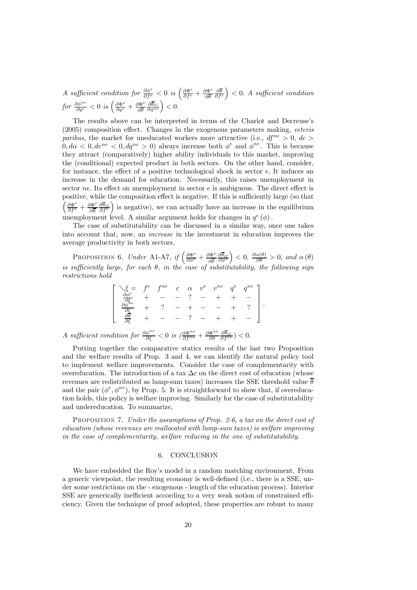A sufficient condition for  $\frac{\partial \phi^e}{\partial f^e} < 0$  is  $\left(\frac{\partial \Phi^e}{\partial f^e} + \frac{\partial \Phi^e}{\partial \overline{\theta}}\right)$  $\frac{\partial \theta}{\partial f^e}$  $( ) < 0.$  A sufficient condition for  $\frac{\partial \phi^{ne}}{\partial q^e} < 0$  is  $\left(\frac{\partial \Phi^e}{\partial q^e} + \frac{\partial \Phi^e}{\partial \overline{\theta}}\right)$  $\left(\frac{\partial \overline{\theta}_G}{\partial q^{ne}}\right) < 0.$ 

The results above can be interpreted in terms of the Charlot and Decreuse's (2005) composition effect. Changes in the exogenous parameters making, ceteris paribus, the market for uneducated workers more attractive (i.e.,  $df^{ne} > 0$ ,  $dc$ )  $0, d\alpha < 0, dv^{ne} < 0, dq^{ne} > 0$ ) always increase both  $\phi^e$  and  $\dot{\phi}^{ne}$ . This is because they attract (comparatively) higher ability individuals to this market, improving the (conditional) expected product in both sectors. On the other hand, consider, for instance, the effect of a positive technological shock in sector e. It induces an increase in the demand for education. Necessarily, this raises unemployment in sector  $ne$ . Its effect on unemployment in sector  $e$  is ambiguous. The direct effect is positive, while the composition effect is negative. If this is sufficiently large (so that  $\left(\frac{\partial \Phi^e}{\partial f^e} + \frac{\partial \Phi^e}{\partial \overline{\theta}}\right)$  $\frac{\partial \theta_G}{\partial f^e}$ ) is negative), we can actually have an increase in the equilibrium unemployment level. A similar argument holds for changes in  $q^e(\phi)$ .

The case of substitutability can be discussed in a similar way, once one takes into account that, now, an increase in the investment in education improves the average productivity in both sectors.

PROPOSITION 6. Under A1-A7, if  $\left(\frac{\partial \Phi^e}{\partial \phi^e} + \frac{\partial \Phi^e}{\partial \overline{\theta}}\right)$  $\frac{\partial \theta_G}{\partial \phi^e}$  $\Big) < 0, \ \frac{\partial \alpha(\theta)}{\partial \theta} > 0, \ and \ \alpha(\theta)$ is sufficiently large, for each  $\theta$ , in the case of substitutability, the following sign restrictions hold

$$
\begin{bmatrix}\n\xi = f^e & f^{ne} & c & \alpha & v^e & v^{ne} & q^e & q^{ne} \\
\frac{\partial \phi^e}{\partial \xi} & + & - & - & ? & - & + & + & - \\
\frac{\partial \phi^{he}}{\partial \xi} & + & ? & - & + & - & - & + & ? \\
\frac{\partial \theta}{\partial \xi} & + & - & - & ? & - & + & + & -\n\end{bmatrix}.
$$

A sufficient condition for  $\frac{\partial \phi^{ne}}{\partial \xi} < 0$  is  $\left(\frac{\partial \Phi^{ne}}{\partial f^{ne}} + \frac{\partial \Phi^{ne}}{\partial \theta} \frac{\partial \overline{\theta}_G}{\partial f^{ne}}\right) < 0$ .

Putting together the comparative statics results of the last two Proposition and the welfare results of Prop. 3 and 4, we can identify the natural policy tool to implement welfare improvements. Consider the case of complementarity with overeducation. The introduction of a tax  $\Delta c$  on the direct cost of education (whose revenues are redistributed as lump-sum taxes) increases the SSE threshold value  $\theta$ and the pair  $(\phi^e, \phi^{ne}),$  by Prop. 5. It is straightforward to show that, if overeducation holds, this policy is welfare improving. Similarly for the case of substitutability and undereducation. To summarize,

PROPOSITION 7. Under the assumptions of Prop. 2-6, a tax on the direct cost of education (whose revenues are reallocated with lump-sum taxes) is welfare improving in the case of complementarity, welfare reducing in the one of substitutability.

# 6. CONCLUSION

We have embedded the Roy's model in a random matching environment. From a generic viewpoint, the resulting economy is well-defined (i.e., there is a SSE, under some restrictions on the - exogenous - length of the education process). Interior SSE are generically inefficient according to a very weak notion of constrained efficiency. Given the technique of proof adopted, these properties are robust to many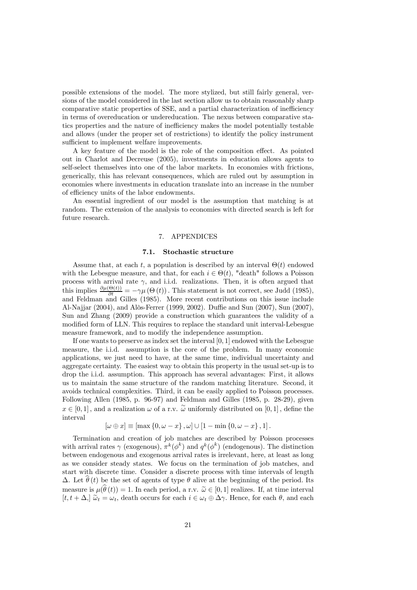possible extensions of the model. The more stylized, but still fairly general, versions of the model considered in the last section allow us to obtain reasonably sharp comparative static properties of SSE, and a partial characterization of inefficiency in terms of overeducation or undereducation. The nexus between comparative statics properties and the nature of inefficiency makes the model potentially testable and allows (under the proper set of restrictions) to identify the policy instrument sufficient to implement welfare improvements.

A key feature of the model is the role of the composition effect. As pointed out in Charlot and Decreuse (2005), investments in education allows agents to self-select themselves into one of the labor markets. In economies with frictions, generically, this has relevant consequences, which are ruled out by assumption in economies where investments in education translate into an increase in the number of efficiency units of the labor endowments.

An essential ingredient of our model is the assumption that matching is at random. The extension of the analysis to economies with directed search is left for future research.

# 7. APPENDICES

#### 7.1. Stochastic structure

Assume that, at each t, a population is described by an interval  $\Theta(t)$  endowed with the Lebesgue measure, and that, for each  $i \in \Theta(t)$ , "death" follows a Poisson process with arrival rate  $\gamma$ , and i.i.d. realizations. Then, it is often argued that this implies  $\frac{\partial \mu(\Theta(t))}{\partial t} = -\gamma \mu(\Theta(t))$ . This statement is not correct, see Judd (1985), and Feldman and Gilles (1985). More recent contributions on this issue include Al-Najjar (2004), and Alòs-Ferrer (1999, 2002). Duffie and Sun (2007), Sun (2007), Sun and Zhang (2009) provide a construction which guarantees the validity of a modified form of LLN. This requires to replace the standard unit interval-Lebesgue measure framework, and to modify the independence assumption.

If one wants to preserve as index set the interval [0, 1] endowed with the Lebesgue measure, the i.i.d. assumption is the core of the problem. In many economic applications, we just need to have, at the same time, individual uncertainty and aggregate certainty. The easiest way to obtain this property in the usual set-up is to drop the i.i.d. assumption. This approach has several advantages: First, it allows us to maintain the same structure of the random matching literature. Second, it avoids technical complexities. Third, it can be easily applied to Poisson processes. Following Allen (1985, p. 96-97) and Feldman and Gilles (1985, p. 28-29), given  $x \in [0,1]$ , and a realization  $\omega$  of a r.v.  $\tilde{\omega}$  uniformly distributed on  $[0,1]$ , define the interval

$$
[\omega \oplus x] \equiv [\max\{0, \omega - x\}, \omega] \cup [1 - \min\{0, \omega - x\}, 1].
$$

Termination and creation of job matches are described by Poisson processes with arrival rates  $\gamma$  (exogenous),  $\pi^k(\phi^k)$  and  $q^k(\phi^k)$  (endogenous). The distinction between endogenous and exogenous arrival rates is irrelevant, here, at least as long as we consider steady states. We focus on the termination of job matches, and start with discrete time. Consider a discrete process with time intervals of length  $\Delta$ . Let  $\hat{\theta}(t)$  be the set of agents of type  $\theta$  alive at the beginning of the period. Its measure is  $\mu(\widehat{\theta}(t)) = 1$ . In each period, a r.v.  $\widetilde{\omega} \in [0, 1]$  realizes. If, at time interval  $[t, t + \Delta]$   $\widetilde{\omega}_t = \omega_t$ , death occurs for each  $i \in \omega_t \oplus \Delta \gamma$ . Hence, for each  $\theta$ , and each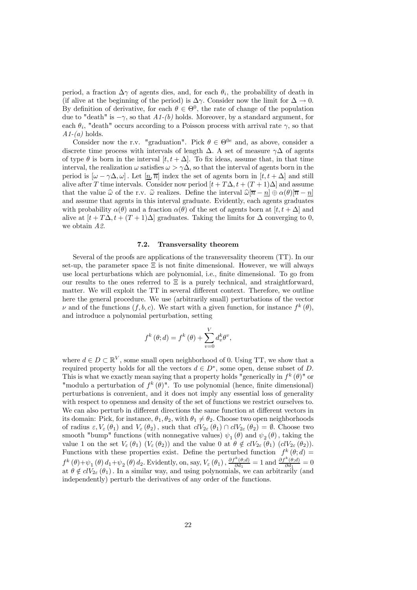period, a fraction  $\Delta \gamma$  of agents dies, and, for each  $\theta_i$ , the probability of death in (if alive at the beginning of the period) is  $\Delta \gamma$ . Consider now the limit for  $\Delta \to 0$ . By definition of derivative, for each  $\theta \in \Theta^0$ , the rate of change of the population due to "death" is  $-\gamma$ , so that  $A1-(b)$  holds. Moreover, by a standard argument, for each  $\theta_i$ , "death" occurs according to a Poisson process with arrival rate  $\gamma$ , so that  $A1-(a)$  holds.

Consider now the r.v. "graduation". Pick  $\theta \in \Theta^{0e}$  and, as above, consider a discrete time process with intervals of length  $\Delta$ . A set of measure  $\gamma\Delta$  of agents of type  $\theta$  is born in the interval  $[t, t + \Delta]$ . To fix ideas, assume that, in that time interval, the realization  $\omega$  satisfies  $\omega > \gamma \Delta$ , so that the interval of agents born in the period is  $[\omega - \gamma \Delta, \omega]$ . Let  $[n, \overline{n}]$  index the set of agents born in  $[t, t + \Delta]$  and still alive after T time intervals. Consider now period  $[t + T\Delta, t + (T + 1)\Delta]$  and assume that the value  $\hat{\omega}$  of the r.v.  $\tilde{\omega}$  realizes. Define the interval  $\hat{\omega}[\overline{n} - n] \oplus \alpha(\theta)[\overline{n} - n]$ and assume that agents in this interval graduate. Evidently, each agents graduates with probability  $\alpha(\theta)$  and a fraction  $\alpha(\theta)$  of the set of agents born at  $[t, t + \Delta]$  and alive at  $[t + T\Delta, t + (T + 1)\Delta]$  graduates. Taking the limits for  $\Delta$  converging to 0, we obtain A2.

## 7.2. Transversality theorem

Several of the proofs are applications of the transversality theorem (TT). In our set-up, the parameter space  $\Xi$  is not finite dimensional. However, we will always use local perturbations which are polynomial, i.e., finite dimensional. To go from our results to the ones referred to  $\Xi$  is a purely technical, and straightforward, matter. We will exploit the TT in several different context. Therefore, we outline here the general procedure. We use (arbitrarily small) perturbations of the vector  $\nu$  and of the functions  $(f, b, c)$ . We start with a given function, for instance  $f^k(\theta)$ , and introduce a polynomial perturbation, setting

$$
f^{k}(\theta; d) = f^{k}(\theta) + \sum_{v=0}^{V} d_{v}^{k} \theta^{v},
$$

where  $d \in D \subset \mathbb{R}^V$ , some small open neighborhood of 0. Using TT, we show that a required property holds for all the vectors  $d \in D^*$ , some open, dense subset of D. This is what we exactly mean saying that a property holds "generically in  $f^k(\theta)$ " or "modulo a perturbation of  $f^k(\theta)$ ". To use polynomial (hence, finite dimensional) perturbations is convenient, and it does not imply any essential loss of generality with respect to openness and density of the set of functions we restrict ourselves to. We can also perturb in different directions the same function at different vectors in its domain: Pick, for instance,  $\theta_1, \theta_2$ , with  $\theta_1 \neq \theta_2$ . Choose two open neighborhoods of radius  $\varepsilon, V_{\varepsilon}(\theta_1)$  and  $V_{\varepsilon}(\theta_2)$ , such that  $clV_{2\varepsilon}(\theta_1) \cap clV_{2\varepsilon}(\theta_2) = \emptyset$ . Choose two smooth "bump" functions (with nonnegative values)  $\psi_1(\theta)$  and  $\psi_2(\theta)$ , taking the value 1 on the set  $V_{\varepsilon}(\theta_1)$   $(V_{\varepsilon}(\theta_2))$  and the value 0 at  $\theta \notin \partial V_{2\varepsilon}(\theta_1)$   $(\partial V_{2\varepsilon}(\theta_2))$ . Functions with these properties exist. Define the perturbed function  $f^k(\theta; d)$  =  $f^k(\theta)+\psi_1(\theta) d_1+\psi_2(\theta) d_2$ . Evidently, on, say,  $V_{\varepsilon}(\theta_1), \frac{\partial f^k(\theta; d)}{\partial d_1} = 1$  and  $\frac{\partial f^k(\theta; d)}{\partial d_1} = 0$ at  $\theta \notin clV_{2\varepsilon}(\theta_1)$ . In a similar way, and using polynomials, we can arbitrarily (and independently) perturb the derivatives of any order of the functions.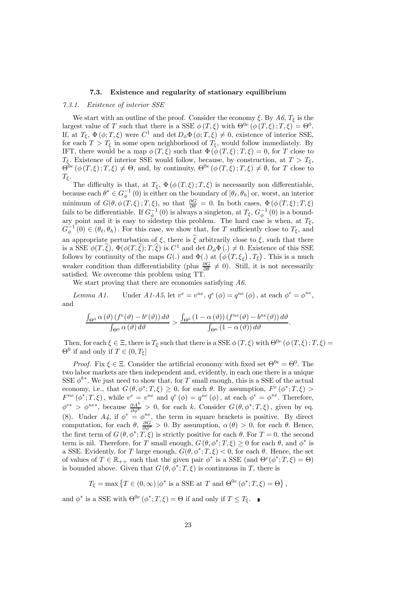## 7.3. Existence and regularity of stationary equilibrium

#### 7.3.1. Existence of interior SSE

We start with an outline of the proof. Consider the economy  $\xi$ . By  $A6$ ,  $T_{\xi}$  is the largest value of T such that there is a SSE  $\phi(T,\xi)$  with  $\Theta^{0e}(\phi(T,\xi);T,\xi) = \Theta^{0}$ . If, at  $T_{\xi}$ ,  $\Phi(\phi; T, \xi)$  were  $C^1$  and  $\det D_{\phi} \Phi(\phi; T, \xi) \neq 0$ , existence of interior SSE, for each  $T > T_{\xi}$  in some open neighborhood of  $T_{\xi}$ , would follow immediately. By IFT, there would be a map  $\phi(T,\xi)$  such that  $\Phi(\phi(T,\xi);T,\xi)=0$ , for T close to  $T_{\xi}$ . Existence of interior SSE would follow, because, by construction, at  $T > T_{\xi}$ ,  $\Theta^{0e}(\phi(T,\xi);T,\xi) \neq \Theta$ , and, by continuity,  $\Theta^{0e}(\phi(T,\xi);T,\xi) \neq \emptyset$ , for T close to  $T_{\xi}$ .

The difficulty is that, at  $T_{\xi}$ ,  $\Phi(\phi(T,\xi);T,\xi)$  is necessarily non differentiable, because each  $\theta^* \in G_{\phi}^{-1}(0)$  is either on the boundary of  $[\theta_{\ell}, \theta_h]$  or, worst, an interior minimum of  $G(\theta, \phi(T,\xi); T, \xi)$ , so that  $\frac{\partial G}{\partial \theta} = 0$ . In both cases,  $\Phi(\phi(T,\xi); T, \xi)$ fails to be differentiable. If  $G_{\phi}^{-1}(0)$  is always a singleton, at  $T_{\xi}$ ,  $G_{\phi}^{-1}(0)$  is a boundary point and it is easy to sidestep this problem. The hard case is when, at  $T_{\xi}$ ,  $G_{\phi}^{-1}(0) \in (\theta_{\ell}, \theta_h)$ . For this case, we show that, for T sufficiently close to  $T_{\xi}$ , and an appropriate perturbation of  $\xi$ , there is  $\hat{\xi}$  arbitrarily close to  $\xi$ , such that there is a SSE  $\phi(T,\hat{\xi}), \Phi(\phi(T,\hat{\xi}); T,\hat{\xi})$  is  $C^1$  and det  $D_{\phi}\Phi(.) \neq 0$ . Existence of this SSE follows by continuity of the maps  $G(.)$  and  $\Phi(.)$  at  $(\phi(T,\xi_{\xi}),T_{\xi})$ . This is a much weaker condition than differentiability (plus  $\frac{\partial G}{\partial \theta} \neq 0$ ). Still, it is not necessarily satisfied. We overcome this problem using TT.

We start proving that there are economies satisfying A6.

Lemma A1. Under A1-A5, let  $v^e = v^{ne}$ ,  $q^e(\phi) = q^{ne}(\phi)$ , at each  $\phi^e = \phi^{ne}$ , and

$$
\frac{\int_{\Theta^0}\alpha\left(\vartheta\right)\left(f^e(\vartheta)-b^e(\vartheta)\right)d\vartheta}{\int_{\Theta^0}\alpha\left(\vartheta\right)d\vartheta} > \frac{\int_{\Theta^0}\left(1-\alpha\left(\vartheta\right)\right)\left(f^{ne}(\vartheta)-b^{ne}(\vartheta)\right)d\vartheta}{\int_{\Theta^0}\left(1-\alpha\left(\vartheta\right)\right)d\vartheta}.
$$

Then, for each  $\xi \in \Xi$ , there is  $T_{\xi}$  such that there is a SSE  $\phi(T,\xi)$  with  $\Theta^{0e}(\phi(T,\xi);T,\xi)$  $\Theta^0$  if and only if  $T \in (0, T_{\xi}]$ 

*Proof.* Fix  $\xi \in \Xi$ . Consider the artificial economy with fixed set  $\Theta^{0e} = \Theta^0$ . The two labor markets are then independent and, evidently, in each one there is a unique SSE  $\phi^{k*}$ . We just need to show that, for T small enough, this is a SSE of the actual economy, i.e., that  $G(\theta, \phi^*; T, \xi) \geq 0$ , for each  $\theta$ . By assumption,  $F^e(\phi^*; T, \xi) >$  $F^{ne}(\phi^*;T,\xi)$ , while  $v^e = v^{ne}$  and  $q^e(\phi) = q^{ne}(\phi)$ , at each  $\phi^e = \phi^{ne}$ . Therefore,  $\phi^{e*} > \phi^{ne*}$ , because  $\frac{\partial A^k}{\partial \phi^k} > 0$ , for each k. Consider  $G(\theta, \phi^*; T, \xi)$ , given by eq. (8). Under  $A_4$ , if  $\phi^e = \phi^{ne}$ , the term in square brackets is positive. By direct computation, for each  $\theta$ ,  $\frac{\partial G}{\partial \phi^e} > 0$ . By assumption,  $\alpha(\theta) > 0$ , for each  $\theta$ . Hence, the first term of  $G(\theta, \phi^*; T, \xi)$  is strictly positive for each  $\theta$ . For  $T = 0$ , the second term is nil. Therefore, for T small enough,  $G(\theta, \phi^*; T, \xi) \geq 0$  for each  $\theta$ , and  $\phi^*$  is a SSE. Evidently, for T large enough,  $G(\theta, \phi^*; T, \xi) < 0$ , for each  $\theta$ . Hence, the set of values of  $T \in \mathbb{R}_{++}$  such that the given pair  $\phi^*$  is a SSE (and  $\Theta^e(\phi^*; T, \xi) = \Theta$ ) is bounded above. Given that  $G(\theta, \phi^*; T, \xi)$  is continuous in T, there is

$$
T_{\xi} = \max \left\{ T \in (0, \infty) \, | \phi^* \text{ is a SSE at } T \text{ and } \Theta^{0e} \left( \phi^*; T, \xi \right) = \Theta \right\},\
$$

and  $\phi^*$  is a SSE with  $\Theta^{0e}(\phi^*;T,\xi) = \Theta$  if and only if  $T \leq T_{\xi}$ .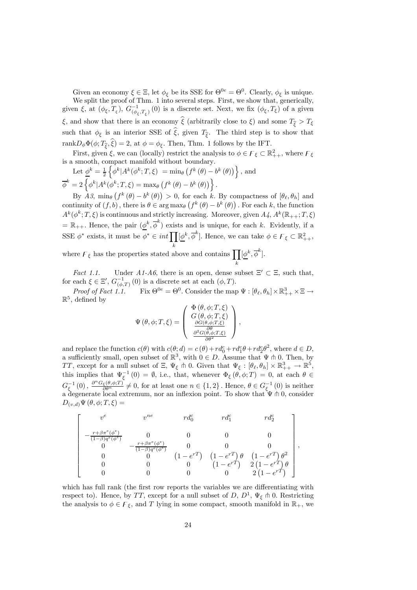Given an economy  $\xi \in \Xi$ , let  $\phi_{\xi}$  be its SSE for  $\Theta^{0e} = \Theta^0$ . Clearly,  $\phi_{\xi}$  is unique. We split the proof of Thm. 1 into several steps. First, we show that, generically, given  $\xi$ , at  $(\phi_{\xi}, T_{\xi})$ ,  $G_{(\phi_{\xi}, T_{\xi})}^{-1}(0)$  is a discrete set. Next, we fix  $(\phi_{\xi}, T_{\xi})$  of a given ξ, and show that there is an economy  $\hat{\xi}$  (arbitrarily close to ξ) and some  $T_{\hat{\xi}} > T_{\xi}$ such that  $\phi_{\xi}$  is an interior SSE of  $\hat{\xi}$ , given  $T_{\hat{\xi}}$ . The third step is to show that rank $D_{\phi}\Phi(\phi; T_{\hat{\epsilon}}, \hat{\xi})=2$ , at  $\phi = \phi_{\xi}$ . Then, Thm. 1 follows by the IFT.

First, given  $\xi$ , we can (locally) restrict the analysis to  $\phi \in \mathcal{F}_{\xi} \subset \mathbb{R}^2_{++}$ , where  $\mathcal{F}_{\xi}$ is a smooth, compact manifold without boundary.

Let 
$$
\underline{\phi}^k = \frac{1}{2} \left\{ \overline{\phi}^k | A^k(\phi^k; T, \xi) = \min_{\theta} \left( f^k(\theta) - b^k(\theta) \right) \right\}
$$
, and  
 $\overline{\phi}^k = 2 \left\{ \phi^k | A^k(\phi^k; T, \xi) = \max_{\theta} \left( f^k(\theta) - b^k(\theta) \right) \right\}.$ 

By  $A\beta$ ,  $\min_{\theta} (f^k(\theta) - b^k(\theta)) > 0$ , for each k. By compactness of  $[\theta_{\ell}, \theta_h]$  and continuity of  $(f, b)$ , there is  $\theta \in \arg \max_{\theta} (f^k(\theta) - b^k(\theta))$ . For each k, the function  $A^k(\phi^k;T,\xi)$  is continuous and strictly increasing. Moreover, given  $A_4$ ,  $A^k(\mathbb{R}_{++};T,\xi)$  $=\mathbb{R}_{++}$ . Hence, the pair  $(\underline{\phi}^k, \overline{\phi}^k)$  exists and is unique, for each k. Evidently, if a SSE  $\phi^*$  exists, it must be  $\phi^* \in int \prod_k$  $[\underline{\phi}^k, \overline{\phi}^k]$ . Hence, we can take  $\phi \in \mathcal{F}_{\xi} \subset \mathbb{R}^2_{++}$ ,

where  $\mathcal{F}_{\xi}$  has the properties stated above and contains  $\prod [\underline{\phi}^k, \overline{\phi}^k]$ . k

Fact 1.1. Under A1-A6, there is an open, dense subset  $\Xi' \subset \Xi$ , such that, for each  $\xi \in \Xi', G_{(\phi,T)}^{-1}(0)$  is a discrete set at each  $(\phi, T)$ .

Proof of Fact 1.1. Fix  $\Theta^{0e} = \Theta^0$ . Consider the map  $\Psi : [\theta_\ell, \theta_h] \times \mathbb{R}^3_{++} \times \Xi \to$  $\mathbb{R}^5$ , defined by

$$
\Psi(\theta,\phi;T,\xi) = \begin{pmatrix} \Phi(\theta,\phi;T,\xi) \\ G(\theta,\phi;T,\xi) \\ \frac{\partial G(\theta,\phi;T,\xi)}{\partial G(\theta,\phi;T,\xi)} \\ \frac{\partial^2 G(\theta,\phi;T,\xi)}{\partial \theta^2} \end{pmatrix},
$$

and replace the function  $c(\theta)$  with  $c(\theta; d) = c(\theta) + rd_0^c + rd_1^c\theta + rd_2^c\theta^2$ , where  $d \in D$ , a sufficiently small, open subset of  $\mathbb{R}^3$ , with  $0 \in D$ . Assume that  $\Psi \uparrow 0$ . Then, by TT, except for a null subset of  $\Xi$ ,  $\Psi_{\xi} \pitchfork 0$ . Given that  $\Psi_{\xi} : [\theta_{\ell}, \theta_h] \times \mathbb{R}^3_{++} \to \mathbb{R}^5$ , this implies that  $\Psi_{\xi}^{-1}(0) = \emptyset$ , i.e., that, whenever  $\Phi_{\xi}(\theta, \phi; T) = 0$ , at each  $\theta \in$  $G_{\xi}^{-1}(0)$ ,  $\frac{\partial^{n} G_{\xi}(\theta,\phi;T)}{\partial \theta^{n}} \neq 0$ , for at least one  $n \in \{1,2\}$ . Hence,  $\theta \in G_{\xi}^{-1}(0)$  is neither a degenerate local extremum, nor an inflexion point. To show that  $\Psi \pitchfork 0$ , consider  $D_{(v,d)}\Psi(\theta,\phi;T,\xi)=$ 

$$
\left[ \begin{array}{ccccc} v^e & v^{ne} & r d_0^c & r d_1^c & r d_2^c \\ - \frac{r + \beta \pi^e(\phi^e)}{(1-\beta)q^e(\phi^e)} & 0 & 0 & 0 & 0 \\ 0 & - \frac{r + \beta \pi^e(\phi^e)}{(1-\beta)q^e(\phi^e)} & 0 & 0 & 0 \\ 0 & 0 & (1-e^{rT}) & (1-e^{rT})\,\theta & (1-e^{rT})\,\theta^2 \\ 0 & 0 & 0 & (1-e^{rT}) & 2\,(1-e^{rT})\,\theta \\ 0 & 0 & 0 & 0 & 2\,(1-e^{rT}) \end{array} \right],
$$

which has full rank (the first row reports the variables we are differentiating with respect to). Hence, by TT, except for a null subset of D,  $D^1$ ,  $\Psi_{\xi} \pitchfork 0$ . Restricting the analysis to  $\phi \in \mathcal{F}_{\xi}$ , and T lying in some compact, smooth manifold in  $\mathbb{R}_{+}$ , we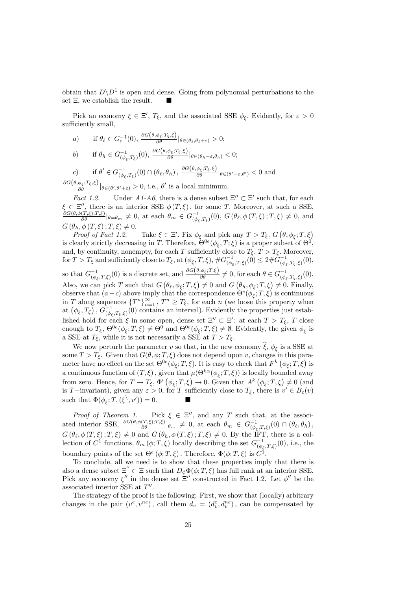obtain that  $D\backslash D^1$  is open and dense. Going from polynomial perturbations to the set  $\Xi$ , we establish the result.

Pick an economy  $\xi \in \Xi'$ ,  $T_{\xi}$ , and the associated SSE  $\phi_{\xi}$ . Evidently, for  $\varepsilon > 0$ sufficiently small,

a) if  $\theta_{\ell} \in G_c^{-1}(0), \frac{\partial G(\theta, \phi_{\xi}; T_{\xi}, \xi)}{\partial \theta} |_{\theta \in (\theta_{\ell}, \theta_{\ell} + \varepsilon)} > 0;$ 

$$
b) \qquad \text{if } \theta_h \in G^{-1}_{(\phi_{\xi},T_{\xi})}(0), \, \frac{\partial G(\theta,\phi_{\xi};T_{\xi},\xi)}{\partial \theta} |_{\theta \in (\theta_h-\varepsilon,\theta_h)} < 0;
$$

c) if  $\theta' \in G_{(\phi_{\xi},T_{\xi})}^{-1}(0) \cap (\theta_{\ell},\theta_h)$ ,  $\frac{\partial G(\theta,\phi_{\xi};T_{\xi},\xi)}{\partial \theta} |_{\theta \in (\theta'-\varepsilon,\theta')} < 0$  and  $\frac{\partial G(\theta, \phi_{\xi};T_{\xi},\xi)}{\partial \theta} |_{\theta \in (\theta',\theta'+\varepsilon)} > 0$ , i.e.,  $\theta'$  is a local minimum.

*Fact 1.2.* Under  $A1-A6$ , there is a dense subset  $\Xi'' \subset \Xi'$  such that, for each  $\xi \in \Xi''$ , there is an interior SSE  $\phi(T,\xi)$ , for some T. Moreover, at such a SSE,<br>  $\frac{\partial G(\theta,\phi(T,\xi);T,\xi)}{\partial \theta} |_{\theta=\theta_m} \neq 0$ , at each  $\theta_m \in G^{-1}_{(\phi_{\xi},T_{\xi})}(0)$ ,  $G(\theta_{\ell},\phi(T,\xi);T,\xi) \neq 0$ , and  $G(\theta_h, \phi(T,\xi); T, \xi) \neq 0.$ <br>Proof of Fact 1.2.

Proof of Fact 1.2. Take  $\xi \in \Xi'$ . Fix  $\phi_{\xi}$  and pick any  $T > T_{\xi}$ .  $G\left(\theta, \phi_{\xi}; T, \xi\right)$ is clearly strictly decreasing in T. Therefore,  $\Theta^{0e}(\phi_{\xi}, T; \xi)$  is a proper subset of  $\Theta^{0}$ , and, by continuity, nonempty, for each T sufficiently close to  $T_{\xi}$ ,  $T > T_{\xi}$ . Moreover,  $\text{for } T > T_{\xi} \text{ and sufficiently close to } T_{\xi}, \text{at } (\phi_{\xi}, T, \xi), \#G_{(\phi_{\xi}, T, \xi)}^{-1}(0) \leq 2 \# \tilde{G}_{(\phi_{\xi}, T_{\xi}, \xi)}^{-1}(0),$ 

so that  $G_{(\phi_{\xi},T,\xi)}^{-1}(0)$  is a discrete set, and  $\frac{\partial G(\theta,\phi_{\xi};T,\xi)}{\partial \theta} \neq 0$ , for each  $\theta \in G_{(\phi_{\xi},T,\xi)}^{-1}(0)$ . Also, we can pick T such that  $G\left(\theta_{\ell}, \phi_{\xi}; T, \xi\right) \neq 0$  and  $G\left(\theta_{h}, \phi_{\xi}; T, \xi\right) \neq 0$ . Finally, observe that  $(a-c)$  above imply that the correspondence  $\Theta^e(\phi_{\xi};T,\xi)$  is continuous in T along sequences  ${T^n}_{n=1}^{\infty}$ ,  ${T^n} \ge T_\xi$ , for each n (we loose this property when at  $(\phi_{\xi}, T_{\xi})$ ,  $G_{(\phi_{\xi}, T_{\xi}, \xi)}^{-1}(0)$  contains an interval). Evidently the properties just established hold for each  $\xi$  in some open, dense set  $\Xi'' \subset \Xi'$ : at each  $T > T_{\xi}$ , T close enough to  $T_{\xi}$ ,  $\Theta^{0e}(\phi_{\xi}; T, \xi) \neq \Theta^{0}$  and  $\Theta^{0e}(\phi_{\xi}; T, \xi) \neq \emptyset$ . Evidently, the given  $\phi_{\xi}$  is a SSE at  $T_{\xi}$ , while it is not necessarily a SSE at  $T > T_{\xi}$ .

We now perturb the parameter v so that, in the new economy  $\hat{\xi}$ ,  $\phi_{\xi}$  is a SSE at some  $T > T_{\xi}$ . Given that  $G(\theta, \phi; T, \xi)$  does not depend upon v, changes in this parameter have no effect on the set  $\Theta^{0e}(\phi_{\xi};T,\xi)$ . It is easy to check that  $F^k(\phi_{\xi};T,\xi)$  is a continuous function of  $(T,\xi)$ , given that  $\mu(\Theta^{k\alpha}(\phi_{\xi};T,\xi))$  is locally bounded away from zero. Hence, for  $T \to T_{\xi}$ ,  $\Phi'(\phi_{\xi}; T, \xi) \to 0$ . Given that  $A^{k}(\phi_{\xi}; T, \xi) \neq 0$  (and is T−invariant), given any  $\varepsilon > 0$ , for T sufficiently close to  $T_{\xi}$ , there is  $v' \in B_{\varepsilon}(v)$ such that  $\Phi(\phi_{\xi}; T, (\xi^{\backslash}, v^{\prime})) = 0.$ 

Proof of Theorem 1. Pick  $\xi \in \Xi''$ , and any T such that, at the associated interior SSE,  $\frac{\partial G(\theta,\phi(T,\xi);T,\xi)}{\partial \theta}\big|_{\theta_m} \neq 0$ , at each  $\theta_m \in G^{-1}_{(\phi_{\xi},T,\xi)}(0) \cap (\theta_{\ell},\theta_h)$ ,  $G(\theta_{\ell}, \phi(T,\xi); T, \xi) \neq 0$  and  $G(\theta_h, \phi(T,\xi); T, \xi) \neq 0$ . By the IFT, there is a collection of  $C^1$  functions,  $\theta_m(\phi; T, \xi)$  locally describing the set  $G^{-1}_{(\phi_{\xi}, T, \xi)}(0)$ , i.e., the boundary points of the set  $\Theta^e(\phi;T,\xi)$ . Therefore,  $\Phi(\phi;T,\xi)$  is  $C^1$ .

To conclude, all we need is to show that these properties imply that there is also a dense subset  $\Xi^{\circ} \subset \Xi$  such that  $D_{\phi} \Phi(\phi; T, \xi)$  has full rank at an interior SSE. Pick any economy  $\xi''$  in the dense set  $\overline{\Xi}''$  constructed in Fact 1.2. Let  $\phi''$  be the associated interior SSE at  $T''$ .

The strategy of the proof is the following: First, we show that (locally) arbitrary changes in the pair  $(v^e, v^{ne})$ , call them  $d_v = (d_v^e, d_v^{ne})$ , can be compensated by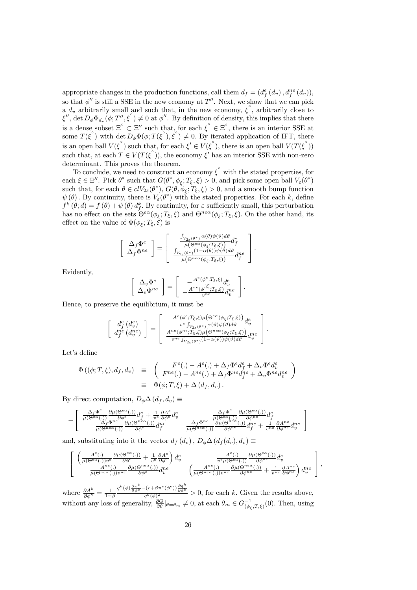appropriate changes in the production functions, call them  $d_f = (d_f^e(d_v), d_f^{ne}(d_v)),$ so that  $\phi''$  is still a SSE in the new economy at T''. Next, we show that we can pick a  $d_v$  arbitrarily small and such that, in the new economy,  $\zeta^{\circ}$ , arbitrarily close to  $\zeta''$ , det  $D_{\phi} \Phi_{d_v} (\phi; T''_{\phi}, \xi^{\circ}) \neq 0$  at  $\phi''$ . By definition of density, this implies that there is a dense subset  $\Xi^{\circ} \subset \Xi''$  such that, for each  $\xi^{\circ} \in \Xi^{\circ}$ , there is an interior SSE at some  $T(\xi^{\circ})$  with det  $D_{\phi}\Phi(\phi;T(\xi^{\circ}),\xi^{\circ})\neq 0$ . By iterated application of IFT, there is an open ball  $V(\xi^{\circ})$  such that, for each  $\xi' \in V(\xi^{\circ})$ , there is an open ball  $V(T(\xi^{\circ}))$ such that, at each  $T \in V(T(\xi^{\circ}))$ , the economy  $\xi'$  has an interior SSE with non-zero determinant. This proves the theorem.

To conclude, we need to construct an economy  $\xi^{\degree}$  with the stated properties, for each  $\xi \in \Xi''$ . Pick  $\theta^*$  such that  $G(\theta^*, \phi_{\xi}; T_{\xi}, \xi) > 0$ , and pick some open ball  $V_{\varepsilon}(\theta^*)$ such that, for each  $\theta \in clV_{2\varepsilon}(\theta^*), G(\theta, \phi_{\xi}; T_{\xi}, \xi) > 0$ , and a smooth bump function  $\psi(\theta)$ . By continuity, there is  $V_{\varepsilon}(\theta^*)$  with the stated properties. For each k, define  $f^k(\theta; d) = f(\theta) + \psi(\theta) d_f^k$ . By continuity, for  $\varepsilon$  sufficiently small, this perturbation has no effect on the sets  $\Theta^{e\alpha}(\phi_{\xi};T_{\xi},\xi)$  and  $\Theta^{ne\alpha}(\phi_{\xi};T_{\xi},\xi)$ . On the other hand, its effect on the value of  $\Phi(\phi_{\xi}; T_{\xi}, \dot{\xi})$  is

$$
\left[\begin{array}{c} \Delta_f \Phi^e \\ \Delta_f \Phi^{ne} \end{array}\right] = \left[\begin{array}{c} \frac{\int_{V_{2\varepsilon}(\theta^*)} \alpha(\theta) \psi(\vartheta) d\vartheta}{\mu(\Theta^{e\alpha}(\phi_{\xi};T_{\xi},\xi))} d_f^e \\ \frac{\int_{V_{2\varepsilon}(\theta^*)} (1-\alpha(\theta)) \psi(\vartheta) d\vartheta}{\mu(\Theta^{ne\alpha}(\phi_{\xi};T_{\xi},\xi))} d_f^{ne} \end{array}\right].
$$

Evidently,

$$
\left[\begin{array}{c} \Delta_v \Phi^e \\ \Delta_v \Phi^{ne} \end{array}\right] = \left[\begin{array}{c} -\frac{A^e(\phi^e; T_{\xi}, \xi)}{v^e} d^e_v \\ -\frac{A^{ne}(\phi^{ne}; T_{\xi}, \xi)}{v^{ne}} d^{ne}_v \end{array}\right].
$$

Hence, to preserve the equilibrium, it must be

$$
\left[\begin{array}{c} d_f^e\left(d_v^e\right) \\ d_f^{ne}\left(d_v^{ne}\right) \end{array}\right] = \left[\begin{array}{c} \frac{A^e\left(\phi^e;T_\xi,\xi\right)\mu\left(\Theta^{ea}\left(\phi_\xi;T_\xi,\xi\right)\right)}{v^e\int_{V_{2\varepsilon}\left(\theta^*)}\alpha(\vartheta)\psi(\vartheta)d\vartheta}d_v^e \\ \frac{A^{ne}\left(\phi^{ne};T_\xi,\xi\right)\mu\left(\Theta^{ne\alpha}\left(\phi_\xi;T_\xi,\xi\right)\right)}{v^{ne}\int_{V_{2\varepsilon}\left(\theta^*)}\left(1-\alpha(\vartheta)\right)\psi(\vartheta)d\vartheta}d_v^ne \end{array}\right].
$$

Let's define

$$
\begin{array}{rcl}\n\Phi\left((\phi;T,\xi),d_f,d_v\right) & \equiv & \left(F^{e}(.) - A^{e}(.) + \Delta_f \Phi^e d_f^e + \Delta_v \Phi^e d_v^e\right) \\
F^{ne}(.) - A^{ne}(.) + \Delta_f \Phi^{ne} d_f^{ne} + \Delta_v \Phi^{ne} d_v^{ne}\n\end{array}\n\biggr)\n\\
= & \Phi(\phi;T,\xi) + \Delta\left(d_f,d_v\right).
$$

By direct computation,  $D_{\phi} \Delta(d_f, d_v) \equiv$ 

$$
-\left[\begin{array}{cc}\frac{\Delta_f\Phi^e}{\mu(\Theta^{e\alpha}(.))}\frac{\partial\mu(\Theta^{e\alpha}(.))}{\partial\phi^e}\frac{d^e}{\partial f}+\frac{1}{v^e}\frac{\partial A^e}{\partial\phi^e}d^e_v & \frac{\Delta_f\Phi^e}{\mu(\Theta^{e\alpha}(.))}\frac{\partial\mu(\Theta^{e\alpha}(.))}{\partial\phi^{ne}}d^e_f\\ \frac{\Delta_f\Phi^{ne}}{\mu(\Theta^{ne\alpha}(.))}\frac{\partial\mu(\Theta^{ne\alpha}(.))}{\partial\phi^e}\frac{d^e}{\partial f} & \frac{\Delta_f\Phi^{ne}}{\mu(\Theta^{ne\alpha}(.))}\frac{\partial\mu(\Theta^{ne\alpha}(.))}{\partial\phi^{ne}}d^e_f+\frac{1}{v^{ne}}\frac{\partial A^{ne}}{\partial\phi^{ne}}d^ne_v\end{array}\right.
$$

 $\overline{1}$ 

and, substituting into it the vector  $d_f(d_v)$ ,  $D_\phi \Delta(d_f(d_v), d_v) \equiv$ 

$$
-\left[\begin{array}{cc} \left(\frac{A^e(.)}{\mu(\Theta^{e\alpha}(.))v^e}\frac{\partial\mu(\Theta^{e\alpha}(.))}{\partial\phi^e}+\frac{1}{v^e}\frac{\partial A^e}{\partial\phi^e}\right)d^e_v & \frac{A^e(.)}{v^e\mu(\Theta^{e\alpha}(.))}\frac{\partial\mu(\Theta^{e\alpha}(.))}{\partial\phi^{ne}}d^e_v\\ \frac{A^{ne}(.)}{\mu(\Theta^{ne\alpha}(.))v^{ne}}\frac{\partial\mu(\Theta^{ne\alpha}(.))}{\partial\phi^e}d^m_v & \left(\frac{A^{ne}(.)}{\mu(\Theta^{ne\alpha}(.))v^{ne}}\frac{\partial\mu(\Theta^{ne\alpha}(.))}{\partial\phi^{ne}}+\frac{1}{v^{ne}}\frac{\partial A^{ne}}{\partial\phi^{ne}}\right)d^m_v \end{array}\right],
$$

where  $\frac{\partial A^k}{\partial \phi^k} = \frac{1}{1-\beta}$  $\frac{q^k(\phi)\frac{\partial \pi^k}{\partial \phi^k} - (r+\beta\pi^e(\phi^e))\frac{\partial q^k}{\partial \phi^k}}{q^k(\phi)^2} > 0$ , for each k. Given the results above, without any loss of generality,  $\frac{\partial G}{\partial \theta}|_{\theta=\theta_m}\neq 0$ , at each  $\theta_m \in G^{-1}_{(\phi_{\xi},T,\xi)}(0)$ . Then, using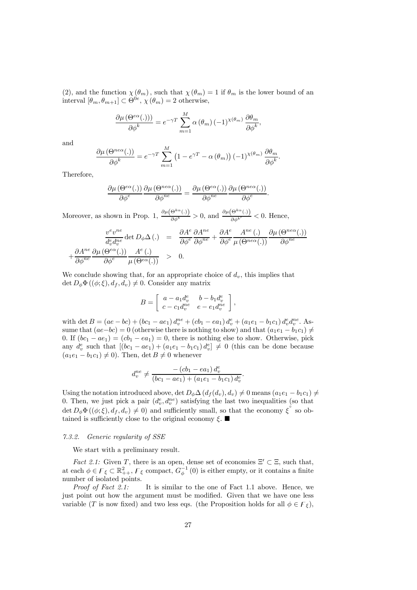(2), and the function  $\chi(\theta_m)$ , such that  $\chi(\theta_m)=1$  if  $\theta_m$  is the lower bound of an interval  $[\theta_m, \theta_{m+1}] \subset \Theta^{0e}, \chi(\theta_m)=2$  otherwise,

$$
\frac{\partial \mu(\Theta^{e\alpha}(.))\partial \phi^{k}}{\partial \phi^{k}} = e^{-\gamma T} \sum_{m=1}^{M} \alpha(\theta_m) (-1)^{\chi(\theta_m)} \frac{\partial \theta_m}{\partial \phi^{k}},
$$

and

$$
\frac{\partial \mu(\Theta^{ne\alpha}(.))}{\partial \phi^k} = e^{-\gamma T} \sum_{m=1}^M \left(1 - e^{\gamma T} - \alpha(\theta_m)\right) (-1)^{\chi(\theta_m)} \frac{\partial \theta_m}{\partial \phi^k}.
$$

Therefore,

$$
\frac{\partial \mu\left(\Theta^{e\alpha}(.)\right)}{\partial \phi^e} \frac{\partial \mu\left(\Theta^{ne\alpha}(.)\right)}{\partial \phi^{ne}} = \frac{\partial \mu\left(\Theta^{e\alpha}(.)\right)}{\partial \phi^{ne}} \frac{\partial \mu\left(\Theta^{ne\alpha}(.)\right)}{\partial \phi^e}.
$$

Moreover, as shown in Prop. 1,  $\frac{\partial \mu(\Theta^{k\alpha}(\cdot))}{\partial \phi^k} > 0$ , and  $\frac{\partial \mu(\Theta^{k\alpha}(\cdot))}{\partial \phi^{k'}} < 0$ . Hence,

$$
\frac{v^e v^{ne}}{d_e^e d_e^{ne}} \det D_\phi \Delta(.) = \frac{\partial A^e}{\partial \phi^e} \frac{\partial A^{ne}}{\partial \phi^{ne}} + \frac{\partial A^e}{\partial \phi^e} \frac{A^{ne}(.)}{\mu(\Theta^{ne\alpha}(.))} \frac{\partial \mu(\Theta^{ne\alpha}(.))}{\partial \phi^{ne}} + \frac{\partial A^{ne}}{\partial \phi^{ne}} \frac{\partial \mu(\Theta^{ee\alpha}(.))}{\partial \phi^{ne}} \frac{A^e}{\mu(\Theta^{ee\alpha}(.))} \frac{A^e(.)}{\mu(\Theta^{ea}(.))} > 0.
$$

We conclude showing that, for an appropriate choice of  $d_v$ , this implies that  $\det D_{\phi} \Phi ((\phi;\xi), d_f, d_v) \neq 0$ . Consider any matrix

$$
B = \left[ \begin{array}{cc} a - a_1 d_v^e & b - b_1 d_v^e \\ c - c_1 d_v^{ne} & e - e_1 d_v^{ne} \end{array} \right],
$$

with det  $B = (ae - bc) + (bc_1 - ae_1) d_v^{ne} + (cb_1 - ea_1) d_v^{e} + (a_1e_1 - b_1c_1) d_v^{e} d_v^{ne}$ . Assume that  $(ae-bc)=0$  (otherwise there is nothing to show) and that  $(a_1e_1 - b_1c_1) \neq$ 0. If  $(bc_1 - ae_1) = (cb_1 - ea_1) = 0$ , there is nothing else to show. Otherwise, pick any  $d_v^e$  such that  $[(bc_1 - ae_1) + (a_1e_1 - b_1c_1) d_v^e] \neq 0$  (this can be done because  $(a_1e_1 - b_1c_1) \neq 0$ . Then, det  $B \neq 0$  whenever

$$
d_v^{ne} \neq \frac{- (cb_1 - ea_1) d_v^e}{(bc_1 - ae_1) + (a_1e_1 - b_1c_1) d_v^e}.
$$

Using the notation introduced above, det  $D_{\phi} \Delta(d_f(d_v), d_v) \neq 0$  means  $(a_1e_1 - b_1c_1) \neq 0$ 0. Then, we just pick a pair  $(d_v^e, d_v^{ne})$  satisfying the last two inequalities (so that  $\det D_{\phi} \Phi ((\phi;\xi), d_f, d_v) \neq 0$  and sufficiently small, so that the economy  $\xi^{\circ}$  so obtained is sufficiently close to the original economy  $\xi$ .

#### 7.3.2. Generic regularity of SSE

We start with a preliminary result.

*Fact 2.1:* Given T, there is an open, dense set of economies  $\Xi' \subset \Xi$ , such that, at each  $\phi \in \mathcal{F}_{\xi} \subset \mathbb{R}^2_{++}$ ,  $\mathcal{F}_{\xi}$  compact,  $G_{\phi}^{-1}(0)$  is either empty, or it contains a finite number of isolated points.

Proof of Fact 2.1: It is similar to the one of Fact 1.1 above. Hence, we just point out how the argument must be modified. Given that we have one less variable (T is now fixed) and two less eqs. (the Proposition holds for all  $\phi \in \mathcal{F}_{\xi}$ ),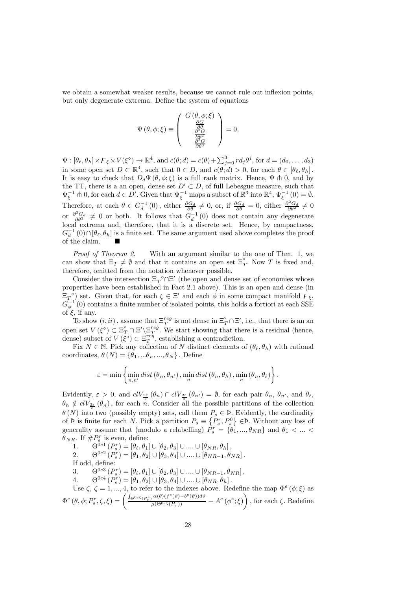we obtain a somewhat weaker results, because we cannot rule out inflexion points, but only degenerate extrema. Define the system of equations

$$
\Psi(\theta,\phi;\xi) \equiv \left(\begin{array}{c} G(\theta,\phi;\xi) \\ \frac{\partial G}{\partial \theta} \\ \frac{\partial^2 G}{\partial \theta^2} \\ \frac{\partial^3 G}{\partial \theta^3} \end{array}\right) = 0,
$$

 $\Psi : [\theta_\ell, \theta_h] \times \mathcal{F}_\xi \times V(\xi^\circ) \to \mathbb{R}^4$ , and  $c(\theta; d) = c(\theta) + \sum_{j=0}^3 r d_j \theta^j$ , for  $d = (d_0, \dots, d_3)$ in some open set  $D \subset \mathbb{R}^4$ , such that  $0 \in D$ , and  $c(\theta; d) > 0$ , for each  $\theta \in [\theta_\ell, \theta_h]$ . It is easy to check that  $D_d \Psi(\theta, \phi; \xi)$  is a full rank matrix. Hence,  $\Psi \pitchfork 0$ , and by the TT, there is a an open, dense set  $D' \subset D$ , of full Lebesgue measure, such that  $\Psi_{\xi}^{-1} \pitchfork 0$ , for each  $d \in D'$ . Given that  $\Psi_{\xi}^{-1}$  maps a subset of  $\mathbb{R}^3$  into  $\mathbb{R}^4$ ,  $\Psi_{\xi}^{-1}(0) = \emptyset$ . Therefore, at each  $\theta \in G_d^{-1}(0)$ , either  $\frac{\partial G_d}{\partial \theta} \neq 0$ , or, if  $\frac{\partial G_d}{\partial \theta} = 0$ , either  $\frac{\partial^2 G_d}{\partial \theta^2} \neq 0$ or  $\frac{\partial^3 G_d}{\partial \theta^3} \neq 0$  or both. It follows that  $G_d^{-1}(0)$  does not contain any degenerate local extrema and, therefore, that it is a discrete set. Hence, by compactness,  $G_d^{-1}(0) \cap [\theta_\ell, \theta_h]$  is a finite set. The same argument used above completes the proof of the claim.

Proof of Theorem 2. With an argument similar to the one of Thm. 1, we can show that  $\Xi_T \neq \emptyset$  and that it contains an open set  $\Xi_T^{\circ}$ . Now T is fixed and, therefore, omitted from the notation whenever possible.

Consider the intersection  $\Xi_T^{\circ} \cap \Xi'$  (the open and dense set of economies whose properties have been established in Fact 2.1 above). This is an open and dense (in  $\Xi_T^{\circ}$ ) set. Given that, for each  $\xi \in \Xi'$  and each  $\phi$  in some compact manifold  $\Gamma_{\xi}$ ,  $\tilde{G}_{\phi}^{-1}(0)$  contains a finite number of isolated points, this holds a fortiori at each SSE of  $\xi$ , if any.

To show  $(i, ii)$ , assume that  $\Xi^{reg}_T$  is not dense in  $\Xi^{\circ}_T \cap \Xi'$ , i.e., that there is an an open set  $V(\xi^{\circ}) \subset \Xi^{\circ}_{T} \cap \Xi' \setminus \Xi^{reg}_{T}$ . We start showing that there is a residual (hence, dense) subset of  $V(\xi^{\circ}) \subset \Xi_T^{reg}$ , establishing a contradiction.

Fix  $N \in \mathbb{N}$ . Pick any collection of N distinct elements of  $(\theta_{\ell}, \theta_h)$  with rational coordinates,  $\theta(N) = {\theta_1, \dots, \theta_n, \dots, \theta_N}$ . Define

$$
\varepsilon = \min\left\{\min_{n,n'} dist(\theta_n,\theta_{n'})\,,\min_{n} dist(\theta_n,\theta_h)\,,\min_{n}(\theta_n,\theta_{\ell})\right\}.
$$

Evidently,  $\varepsilon > 0$ , and  $clV_{\frac{2\varepsilon}{5}}(\theta_n) \cap clV_{\frac{2\varepsilon}{5}}(\theta_{n'}) = \emptyset$ , for each pair  $\theta_n$ ,  $\theta_{n'}$ , and  $\theta_{\ell}$ ,  $\theta_h \notin \text{cl}V_{\frac{2\varepsilon}{5}}(\theta_n)$ , for each n. Consider all the possible partitions of the collection  $\theta(N)$  into two (possibly empty) sets, call them  $P_s \in \Phi$ . Evidently, the cardinality of P is finite for each N. Pick a partition  $P_s \equiv \{P_s^r, P_s^0\} \in \mathcal{P}$ . Without any loss of generality assume that (modulo a relabelling)  $\hat{P}_s^r = \{\hat{\theta}_1, ..., \theta_{NR}\}\$  and  $\theta_1 < ... <$  $\theta_{NR}$ . If  $\#P_s^r$  is even, define:

1.  $\Theta^{0e1}(P_s^r) = [\theta_{\ell}, \theta_1] \cup [\theta_2, \theta_3] \cup ... \cup [\theta_{NR}, \theta_h],$ 2.  $\Theta^{0e2}(P_s^r) = [\theta_1, \theta_2] \cup [\theta_3, \theta_4] \cup .... \cup [\theta_{NR-1}, \theta_{NR}]$ . If odd, define: 3.  $\Theta^{0e3}(P_s^r) = [\theta_\ell, \theta_1] \cup [\theta_2, \theta_3] \cup ... \cup [\theta_{NR-1}, \theta_{NR}],$ 4.  $\Theta^{0e4} (P_s^r) = [\theta_1, \theta_2] \cup [\theta_3, \theta_4] \cup ... \cup [\theta_{NR}, \theta_h].$ 4.  $\sigma$  (*r<sub>s</sub>*) – [*v*<sub>1</sub>, *v*<sub>2</sub>]  $\cup$  [*v*<sub>3</sub>, *v*<sub>4</sub>]  $\cup$  ....  $\cup$  [*v*<sub>*N*</sub> *n*<sub>*n*</sub></sup>, *v*<sub>*n*</sub>].<br>Use ζ, ζ = 1, ..., 4, to refer to the indexes above. Redefine the map  $\Phi^e(\phi; \xi)$  as  $\Phi^{e} \left( \theta, \phi; P_{s}^{r}, \zeta, \xi \right) = \left( \frac{\int_{\Theta^{0e \zeta} \left( P_{s}^{r} \right)} \alpha(\theta) \left( f^{e}(\vartheta)-b^{e}(\vartheta) \right) d\vartheta}{\mu(\Theta^{0e \zeta} \left( P_{s}^{r} \right))} - A^{e} \left( \phi^{e} ; \xi \right) \right)$  $\setminus$ , for each  $\zeta$ . Redefine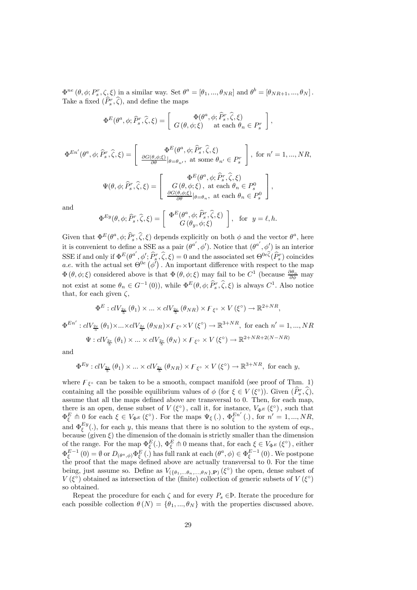$\Phi^{ne}(\theta, \phi; P_s^r, \zeta, \xi)$  in a similar way. Set  $\theta^a = [\theta_1, ..., \theta_{NR}]$  and  $\theta^b = [\theta_{NR+1}, ..., \theta_N]$ . Take a fixed  $(\tilde{P}_s^r, \tilde{\zeta})$ , and define the maps

$$
\Phi^{E}(\theta^{a}, \phi; \hat{P}_{s}^{r}, \hat{\zeta}, \xi) = \begin{bmatrix} \Phi(\theta^{a}, \phi; \hat{P}_{s}^{r}, \hat{\zeta}, \xi) \\ G(\theta, \phi; \xi) & \text{at each } \theta_{n} \in P_{s}^{r} \end{bmatrix},
$$

$$
\Phi^{En'}(\theta^a, \phi; \hat{P}_s^r, \hat{\zeta}, \xi) = \begin{bmatrix} \Phi^E(\theta^a, \phi; \hat{P}_s^r, \hat{\zeta}, \xi) \\ \frac{\partial G(\theta, \phi; \xi)}{\partial \theta} |_{\theta = \theta_{n'}}, \text{ at some } \theta_{n'} \in P_s^r \end{bmatrix}, \text{ for } n' = 1, ..., NR,
$$
  

$$
\Psi(\theta, \phi; \hat{P}_s^r, \hat{\zeta}, \xi) = \begin{bmatrix} \Phi^E(\theta^a, \phi; \hat{P}_s^r, \hat{\zeta}, \xi) \\ G(\theta, \phi; \xi), \text{ at each } \theta_n \in P_s^0 \\ \frac{\partial G(\theta, \phi; \xi)}{\partial \theta} |_{\theta = \theta_n}, \text{ at each } \theta_n \in P_s^0 \end{bmatrix},
$$

and

$$
\Phi^{Ey}(\theta,\phi;\widehat{P}_s^r,\widehat{\zeta},\xi) = \left[\begin{array}{c} \Phi^E(\theta^a,\phi;\widehat{P}_s^r,\widehat{\zeta},\xi) \\ G(\theta_y,\phi;\xi) \end{array}\right], \text{ for } y = \ell,h.
$$

Given that  $\Phi^E(\theta^a, \phi; \widehat{P}_s^r, \widehat{\zeta}, \xi)$  depends explicitly on both  $\phi$  and the vector  $\theta^a$ , here it is convenient to define a SSE as a pair  $(\theta^{a'}, \phi')$ . Notice that  $(\theta^{a'}, \phi')$  is an interior SSE if and only if  $\Phi^E(\theta^{a'}, \phi'; \hat{P}^r_s, \hat{\zeta}, \xi) = 0$  and the associated set  $\Theta^{0e\hat{\zeta}}(\hat{P}^r_s)$  coincides a.e. with the actual set  $\Theta^{0e}(\phi')$ . An important difference with respect to the map  $\Phi(\theta,\phi;\xi)$  considered above is that  $\Phi(\theta,\phi;\xi)$  may fail to be  $C^1$  (because  $\frac{\partial \theta_n}{\partial \phi}$  may not exist at some  $\theta_n \in G^{-1}(0)$ , while  $\Phi^E(\theta, \phi; \hat{P}_s^r, \hat{\zeta}, \xi)$  is always  $C^1$ . Also notice that, for each given  $\zeta$ ,

$$
\Phi^E: clV_{\frac{2\varepsilon}{5}}(\theta_1) \times \ldots \times clV_{\frac{2\varepsilon}{5}}(\theta_{NR}) \times F_{\xi^\circ} \times V(\xi^\circ) \to \mathbb{R}^{2+NR},
$$

 $\Phi^{En'}: clV_{\frac{2\varepsilon}{5}}(\theta_1) \times ... \times clV_{\frac{2\varepsilon}{5}}(\theta_{NR}) \times F_{\xi} \circ \times V(\xi^{\circ}) \to \mathbb{R}^{3+NR}$ , for each  $n' = 1, ..., NR$  $\Psi: clV_{\frac{2\varepsilon}{5}}(\theta_1) \times ... \times clV_{\frac{2\varepsilon}{5}}(\theta_N) \times F_{\xi^{\circ}} \times V(\xi^{\circ}) \to \mathbb{R}^{2+NR+2(N-NR)}$ 

and

$$
\Phi^{Ey}: clV_{\frac{2\varepsilon}{5}}(\theta_1) \times ... \times clV_{\frac{2\varepsilon}{5}}(\theta_{NR}) \times F_{\xi^{\circ}} \times V(\xi^{\circ}) \to \mathbb{R}^{3+NR}, \text{ for each } y,
$$

where  $F_{\xi}$ ° can be taken to be a smooth, compact manifold (see proof of Thm. 1) containing all the possible equilibrium values of  $\phi$  (for  $\xi \in V(\xi^{\circ})$ ). Given  $(\widehat{P}_{s}^{r}, \widehat{\zeta})$ , assume that all the maps defined above are transversal to 0. Then, for each map, there is an open, dense subset of  $V(\xi^{\circ})$ , call it, for instance,  $V_{\Phi^E}(\xi^{\circ})$ , such that  $\Phi_{\xi}^{E} \uparrow 0$  for each  $\xi \in V_{\Phi^{E}}(\xi^{\circ})$ . For the maps  $\Psi_{\xi}$  (.),  $\Phi_{\xi}^{En'}$  (.), for  $n' = 1, ..., NR$ , and  $\Phi_{\xi}^{Ey}(.)$ , for each y, this means that there is no solution to the system of eqs., because (given  $\xi$ ) the dimension of the domain is strictly smaller than the dimension of the range. For the map  $\Phi_{\xi}^{E}(.)$ ,  $\Phi_{\xi}^{E} \uparrow 0$  means that, for each  $\xi \in V_{\Phi^{E}}(\xi^{\circ})$ , either  $\Phi_{\xi}^{E-1}(0) = \emptyset$  or  $D_{(\theta^a, \phi)} \Phi_{\xi}^{E}(.)$  has full rank at each  $(\theta^a, \phi) \in \Phi_{\xi}^{E-1}(0)$ . We postpone the proof that the maps defined above are actually transversal to 0. For the time being, just assume so. Define as  $V_{(\{\theta_1,...\theta_n,...\theta_N\},\mathbf{P})}(\xi^{\circ})$  the open, dense subset of  $V(\xi^{\circ})$  obtained as intersection of the (finite) collection of generic subsets of  $V(\xi^{\circ})$ so obtained.

Repeat the procedure for each  $\zeta$  and for every  $P_s \in \mathcal{P}$ . Iterate the procedure for each possible collection  $\theta(N) = {\theta_1, ..., \theta_N}$  with the properties discussed above.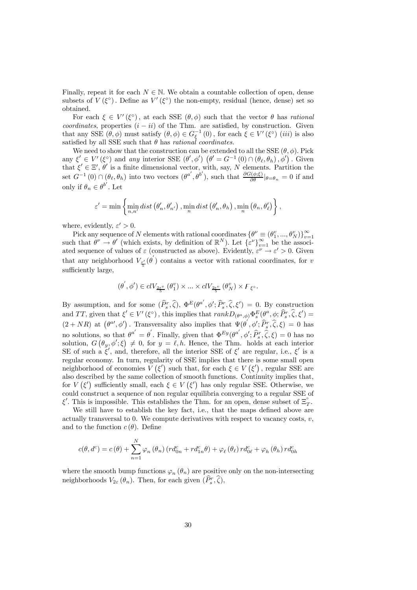Finally, repeat it for each  $N \in \mathbb{N}$ . We obtain a countable collection of open, dense subsets of  $V(\xi^{\circ})$ . Define as  $V'(\xi^{\circ})$  the non-empty, residual (hence, dense) set so obtained.

For each  $\xi \in V'(\xi^{\circ})$ , at each SSE  $(\theta, \phi)$  such that the vector  $\theta$  has *rational* coordinates, properties  $(i - ii)$  of the Thm. are satisfied, by construction. Given that any SSE  $(\theta, \phi)$  must satisfy  $(\theta, \phi) \in G_{\xi}^{-1}(0)$ , for each  $\xi \in V'(\xi^{\circ})$  (*iii*) is also satisfied by all SSE such that  $\theta$  has *rational coordinates*.

We need to show that the construction can be extended to all the SSE  $(\theta, \phi)$ . Pick any  $\xi' \in V'(\xi^{\circ})$  and any interior SSE  $(\theta', \phi')$   $(\theta' = G^{-1}(0) \cap (\theta_{\ell}, \theta_h), \phi')$ . Given that  $\xi' \in \Xi'$ ,  $\theta'$  is a finite dimensional vector, with, say, N elements. Partition the set  $G^{-1}(0) \cap (\theta_{\ell}, \theta_h)$  into two vectors  $(\theta^{a'}, \theta^{b'})$ , such that  $\frac{\partial G(\phi;\xi)}{\partial \theta} |_{\theta=\theta_h} = 0$  if and only if  $\theta_n \in \theta^{b'}$ . Let

$$
\varepsilon'=\min\left\{\min_{n,n'}dist\left(\theta'_{n},\theta'_{n'}\right),\min_{n}dist\left(\theta'_{n},\theta_{h}\right),\min_{n}\left(\theta_{n},\theta'_{\ell}\right)\right\},\right\}
$$

where, evidently,  $\varepsilon' > 0$ .

Pick any sequence of N elements with rational coordinates  $\{\theta^{\nu} \equiv (\theta_1^v, ..., \theta_N^v)\}_{v=1}^{\infty}$ <br>such that  $\theta^{\nu} \to \theta'$  (which exists, by definition of  $\mathbb{R}^N$ ). Let  $\{\varepsilon^{\nu}\}_{\nu=1}^{\infty}$  be the associated sequence of values of  $\varepsilon$  (constructed as above). Evidently,  $\varepsilon^{\nu} \to \varepsilon' > 0$ . Given that any neighborhood  $V_{\frac{\varepsilon'}{5}}(\theta')$  contains a vector with rational coordinates, for v sufficiently large,

$$
(\boldsymbol{\theta}^{'}, \boldsymbol{\phi}^{\prime}) \in clV_{\frac{2\varepsilon^{v}}{5}}\left(\boldsymbol{\theta}_{1}^{v}\right) \times \ldots \times clV_{\frac{2\varepsilon^{v}}{5}}\left(\boldsymbol{\theta}_{N}^{v}\right) \times F_{\xi^{\circ}}.
$$

By assumption, and for some  $(\widehat{P}_s^r, \widehat{\zeta})$ ,  $\Phi^E(\theta^{a'}, \phi'; \widehat{P}_s^r, \widehat{\zeta}, \xi') = 0$ . By construction and TT, given that  $\xi' \in V'(\xi^{\circ})$ , this implies that  $rankD_{(\theta^a, \phi)} \Phi_s^E(\theta^a, \phi; \widehat{P}_s^r, \widehat{\zeta}, \xi') =$  $(2 + NR)$  at  $(\theta^{\alpha\prime}, \phi\prime)$ . Transversality also implies that  $\Psi(\theta', \phi'; \hat{P}_s^r, \hat{\zeta}, \xi) = 0$  has no solutions, so that  $\theta^{a'} = \theta'$ . Finally, given that  $\Phi^{Ey}(\theta^{a'}, \phi'; \hat{P}_s^r, \hat{\zeta}, \xi) = 0$  has no solution,  $G(\theta_y, \phi'; \xi) \neq 0$ , for  $y = \ell, h$ . Hence, the Thm. holds at each interior SE of such a  $\xi'$ , and, therefore, all the interior SSE of  $\xi'$  are regular, i.e.,  $\xi'$  is a regular economy. In turn, regularity of SSE implies that there is some small open neighborhood of economies  $V(\xi')$  such that, for each  $\xi \in V(\xi')$ , regular SSE are also described by the same collection of smooth functions. Continuity implies that, for  $V(\xi')$  sufficiently small, each  $\xi \in V(\xi')$  has only regular SSE. Otherwise, we could construct a sequence of non regular equilibria converging to a regular SSE of  $\xi'$ . This is impossible. This establishes the Thm. for an open, dense subset of  $\Xi_T^{\circ}$ .

We still have to establish the key fact, i.e., that the maps defined above are actually transversal to 0. We compute derivatives with respect to vacancy costs,  $v$ , and to the function  $c(\theta)$ . Define

$$
c(\theta, d^c) = c(\theta) + \sum_{n=1}^{N} \varphi_n (\theta_n) (r d^c_{0n} + r d^c_{1n} \theta) + \varphi_\ell (\theta_\ell) r d^c_{0\ell} + \varphi_h (\theta_h) r d^c_{0h}
$$

where the smooth bump functions  $\varphi_n(\theta_n)$  are positive only on the non-intersecting neighborhoods  $V_{2\varepsilon}(\theta_n)$ . Then, for each given  $(\widehat{P}_s^r, \widehat{\zeta}),$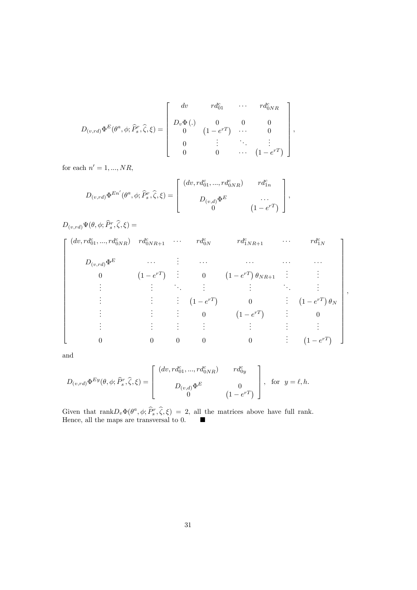$$
D_{(v,rd)} \Phi^{E}(\theta^{a}, \phi; \hat{P}_{s}^{r}, \hat{\zeta}, \xi) = \begin{bmatrix} dv & rd_{01}^{c} & \cdots & rd_{0NR}^{c} \\ D_{v} \Phi(.) & 0 & 0 & 0 \\ 0 & (1 - e^{rT}) & \cdots & 0 \\ 0 & \vdots & \ddots & \vdots \\ 0 & 0 & \cdots & (1 - e^{rT}) \end{bmatrix},
$$

for each  $n' = 1, ..., NR$ ,

 $D_{(v,rd)}\Phi^{En'}(\theta^a,\phi; \widehat{P}^r_s,\widehat{\zeta},\xi)=$  $\sqrt{ }$  $\vert$  $(dv, rd_{01}^c, ..., rd_{0NR}^c)$   $rd_{1n}^c$  $D_{(v,d)}\Phi^E$  ... 0  $(1 - e^{rT})$ ⎤  $\Bigg\vert \, ,$ 

 $D_{(v,rd)}\Psi(\theta,\phi;\widehat{P}^r_s,\widehat{\zeta},\xi)=$ 

| $(dv, rd_{01}^c, , rd_{0NR}^c)$ $rd_{0NR+1}^c$ $\cdots$ $rd_{0N}^c$ |                |                |                           | $rd_{1NR+1}^c$                       | $\cdots$ | $rd_{1N}^c$                       |
|---------------------------------------------------------------------|----------------|----------------|---------------------------|--------------------------------------|----------|-----------------------------------|
| $D_{(v,rd)}\Phi^E$                                                  | $\cdots$       |                | $\ldots$                  | .                                    |          | $\cdots$                          |
| $\theta$                                                            | $(1 - e^{rT})$ |                |                           | $\vdots$ 0 $(1-e^{rT})\theta_{NR+1}$ |          |                                   |
|                                                                     |                |                |                           |                                      |          |                                   |
|                                                                     |                |                | $\therefore$ $(1-e^{rT})$ | $\overline{0}$                       |          | $\therefore$ $(1-e^{rT})\theta_N$ |
|                                                                     |                |                | $\vdots$ 0                | $(1-e^{rT})$                         | ÷        |                                   |
|                                                                     |                |                |                           |                                      |          |                                   |
|                                                                     | $\overline{0}$ | $\overline{0}$ | $\theta$                  | $\overline{0}$                       |          | $(1-e^{rT})$                      |

,

and

$$
D_{(v,rd)} \Phi^{Ey}(\theta, \phi; \widehat{P}_s^r, \widehat{\zeta}, \xi) = \begin{bmatrix} (dv, rd_{01}^c, ..., rd_{0NR}^c) & rd_{0y}^c \\ D_{(v,d)} \Phi^E & 0 \\ 0 & (1 - e^{rT}) \end{bmatrix}, \text{ for } y = \ell, h.
$$

Given that  $\text{rank}D_v\Phi(\theta^a,\phi;\widehat{P}_s^r,\widehat{\zeta},\xi)=2$ , all the matrices above have full rank. Hence, all the maps are transversal to 0.  $\blacksquare$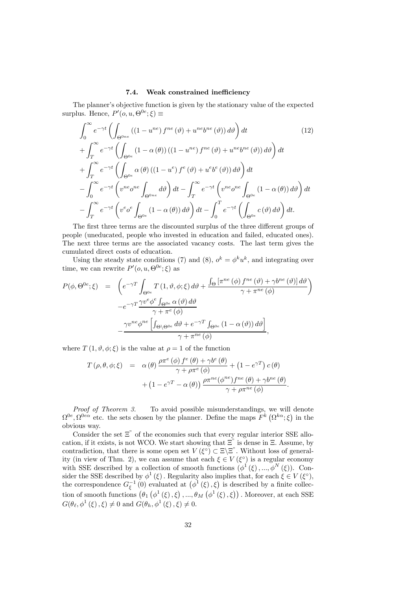# 7.4. Weak constrained inefficiency

The planner's objective function is given by the stationary value of the expected surplus. Hence,  $P'(o, u, \Theta^{0e}; \xi) \equiv$ 

$$
\int_{0}^{\infty} e^{-\gamma t} \left( \int_{\Theta^{0ne}} \left( (1 - u^{ne}) f^{ne} \left( \vartheta \right) + u^{ne} b^{ne} \left( \vartheta \right) \right) d\vartheta \right) dt \qquad (12)
$$
  
+ 
$$
\int_{T}^{\infty} e^{-\gamma t} \left( \int_{\Theta^{0e}} \left( 1 - \alpha \left( \theta \right) \right) \left( (1 - u^{ne}) f^{ne} \left( \vartheta \right) + u^{ne} b^{ne} \left( \vartheta \right) \right) d\vartheta \right) dt
$$
  
+ 
$$
\int_{T}^{\infty} e^{-\gamma t} \left( \int_{\Theta^{0e}} \alpha \left( \theta \right) \left( (1 - u^{e}) f^{e} \left( \vartheta \right) + u^{e} b^{e} \left( \vartheta \right) \right) d\vartheta \right) dt
$$
  
- 
$$
\int_{0}^{\infty} e^{-\gamma t} \left( v^{ne} o^{ne} \int_{\Theta^{0ne}} d\vartheta \right) dt - \int_{T}^{\infty} e^{-\gamma t} \left( v^{ne} o^{ne} \int_{\Theta^{0e}} \left( 1 - \alpha \left( \theta \right) \right) d\vartheta \right) dt
$$
  
- 
$$
\int_{T}^{\infty} e^{-\gamma t} \left( v^{e} o^{e} \int_{\Theta^{0e}} \left( 1 - \alpha \left( \theta \right) \right) d\vartheta \right) dt - \int_{0}^{T} e^{-\gamma t} \left( \int_{\Theta^{0e}} c \left( \vartheta \right) d\vartheta \right) dt.
$$
 (12)

The first three terms are the discounted surplus of the three different groups of people (uneducated, people who invested in education and failed, educated ones). The next three terms are the associated vacancy costs. The last term gives the cumulated direct costs of education.

Using the steady state conditions (7) and (8),  $o^k = \phi^k u^k$ , and integrating over time, we can rewrite  $P'(o, u, \Theta^{0e}; \xi)$  as

$$
P(\phi, \Theta^{0e}; \xi) = \left( e^{-\gamma T} \int_{\Theta^{0e}} T(1, \vartheta, \phi; \xi) d\vartheta + \frac{\int_{\Theta} \left[ \pi^{ne}(\phi) f^{ne}(\vartheta) + \gamma b^{ne}(\vartheta) \right] d\vartheta}{\gamma + \pi^{ne}(\phi)} \right)
$$

$$
-e^{-\gamma T} \frac{\gamma v^e \phi^e \int_{\Theta^{0e}} \alpha(\vartheta) d\vartheta}{\gamma + \pi^e(\phi)}
$$

$$
- \frac{\gamma v^{ne} \phi^{ne} \left[ \int_{\Theta \setminus \Theta^{0e}} d\vartheta + e^{-\gamma T} \int_{\Theta^{0e}} (1 - \alpha(\vartheta)) d\vartheta \right]}{\gamma + \pi^{ne}(\phi)},
$$

where  $T(1, \vartheta, \phi; \xi)$  is the value at  $\rho = 1$  of the function

$$
T(\rho, \theta, \phi; \xi) = \alpha(\theta) \frac{\rho \pi^e(\phi) f^e(\theta) + \gamma b^e(\theta)}{\gamma + \rho \pi^e(\phi)} + (1 - e^{\gamma T}) c(\theta) + (1 - e^{\gamma T} - \alpha(\theta)) \frac{\rho \pi^{ne}(\phi^{ne}) f^{ne}(\theta) + \gamma b^{ne}(\theta)}{\gamma + \rho \pi^{ne}(\phi)}.
$$

Proof of Theorem 3. To avoid possible misunderstandings, we will denote  $\Omega^{0e}, \Omega^{0e\alpha}$  etc. the sets chosen by the planner. Define the maps  $F^k(\Omega^{k\alpha}; \xi)$  in the obvious way.

Consider the set  $\Xi$ <sup>"</sup> of the economies such that every regular interior SSE allocation, if it exists, is not WCO. We start showing that  $\Xi$ " is dense in  $\Xi$ . Assume, by contradiction, that there is some open set  $V(\xi^{\circ}) \subset \Xi \setminus \Xi$ . Without loss of generality (in view of Thm. 2), we can assume that each  $\xi \in V(\xi^{\circ})$  is a regular economy with SSE described by a collection of smooth functions  $(\phi^1(\xi), ..., \phi^N(\xi))$ . Consider the SSE described by  $\phi^1(\xi)$ . Regularity also implies that, for each  $\xi \in V(\xi^{\circ})$ , the correspondence  $G_{\xi}^{-1}(0)$  evaluated at  $(\phi^1(\xi), \xi)$  is described by a finite collection of smooth functions  $(\theta_1 \left( \phi^1 (\xi), \xi \right), ..., \theta_M \left( \phi^1 (\xi), \xi \right))$ . Moreover, at each SSE  $G(\theta_{\ell}, \phi^1(\xi), \xi) \neq 0$  and  $G(\theta_h, \phi^1(\xi), \xi) \neq 0$ .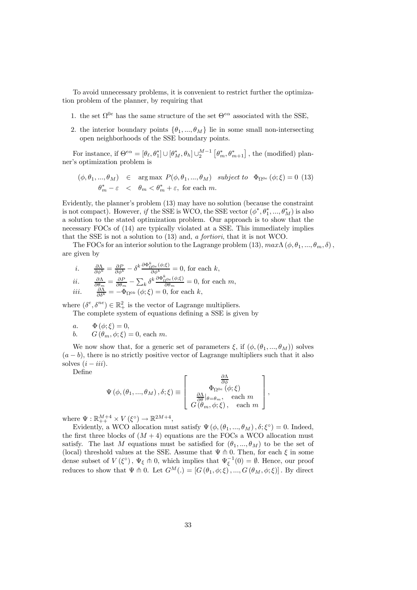To avoid unnecessary problems, it is convenient to restrict further the optimization problem of the planner, by requiring that

- 1. the set  $\Omega^{0e}$  has the same structure of the set  $\Theta^{e\alpha}$  associated with the SSE,
- 2. the interior boundary points  $\{\theta_1, ..., \theta_M\}$  lie in some small non-intersecting open neighborhoods of the SSE boundary points.

For instance, if  $\Theta^{e\alpha} = [\theta_\ell, \theta_1^*] \cup [\theta_M^*, \theta_h] \cup_2^{M-1} [\theta_m^*, \theta_{m+1}^*]$ , the (modified) planner's optimization problem is

$$
(\phi, \theta_1, ..., \theta_M) \in \arg \max \ P(\phi, \theta_1, ..., \theta_M) \ \ subject \ to \ \ \Phi_{\Omega^{0e}}(\phi; \xi) = 0 \tag{13}
$$
  

$$
\theta_m^* - \varepsilon < \theta_m < \theta_m^* + \varepsilon, \text{ for each } m.
$$

Evidently, the planner's problem (13) may have no solution (because the constraint is not compact). However, if the SSE is WCO, the SSE vector  $(\phi^*, \theta_1^*, ..., \theta_M^*)$  is also a solution to the stated optimization problem. Our approach is to show that the necessary FOCs of (14) are typically violated at a SSE. This immediately implies that the SSE is not a solution to (13) and, a fortiori, that it is not WCO.

The FOCs for an interior solution to the Lagrange problem (13),  $max\Lambda(\phi, \theta_1, ..., \theta_m, \delta)$ , are given by

*i.* 
$$
\frac{\partial \Lambda}{\partial \phi^k} = \frac{\partial P}{\partial \phi^k} - \delta^k \frac{\partial \Phi_{\Omega^{0c}}^k(\phi;\xi)}{\partial \phi^k} = 0, \text{ for each } k,
$$
  
\n*ii.* 
$$
\frac{\partial \Lambda}{\partial \theta_m} = \frac{\partial P}{\partial \theta_m} - \sum_k \delta^k \frac{\partial \Phi_{\Omega^{0c}}^k(\phi;\xi)}{\partial \theta_m} = 0, \text{ for each } m,
$$
  
\n*iii.* 
$$
\frac{\partial \Lambda}{\partial \delta^k} = -\Phi_{\Omega^{0k}}(\phi;\xi) = 0, \text{ for each } k,
$$

where  $(\delta^e, \delta^{ne}) \in \mathbb{R}_+^2$  is the vector of Lagrange multipliers. The complete system of equations defining a SSE is given by

a. 
$$
\Phi(\phi; \xi) = 0
$$
,  
b.  $G(\theta_m, \phi; \xi) = 0$ , each m.

We now show that, for a generic set of parameters  $\xi$ , if  $(\phi,(\theta_1,...,\theta_M))$  solves  $(a - b)$ , there is no strictly positive vector of Lagrange multipliers such that it also solves  $(i - iii)$ .

Define

$$
\Psi\left(\phi, \left(\theta_{1}, \ldots, \theta_{M}\right), \delta; \xi\right) \equiv \left[\begin{array}{c} \frac{\partial \Lambda}{\partial \phi} \\ \Phi_{\Omega^{0e}}\left(\phi; \xi\right) \\ \frac{\partial \Lambda}{\partial \theta}|_{\theta = \theta_{m}}, \quad \text{each } m \\ G\left(\theta_{m}, \phi; \xi\right), \quad \text{each } m \end{array}\right],
$$

where  $\Psi : \mathbb{R}_{++}^{M+4} \times V(\xi^{\circ}) \to \mathbb{R}^{2M+4}$ ,

Evidently, a WCO allocation must satisfy  $\Psi(\phi, (\theta_1, ..., \theta_M), \delta; \xi^{\circ}) = 0$ . Indeed, the first three blocks of  $(M + 4)$  equations are the FOCs a WCO allocation must satisfy. The last M equations must be satisfied for  $(\theta_1, ..., \theta_M)$  to be the set of (local) threshold values at the SSE. Assume that  $\Psi \pitchfork 0$ . Then, for each  $\xi$  in some dense subset of  $V(\xi^{\circ})$ ,  $\Psi_{\xi} \pitchfork 0$ , which implies that  $\Psi_{\xi}^{-1}(0) = \emptyset$ . Hence, our proof reduces to show that  $\Psi \pitchfork 0$ . Let  $G^M(.)=[G(\theta_1,\phi;\xi),...,G(\theta_M,\phi;\xi)]$ . By direct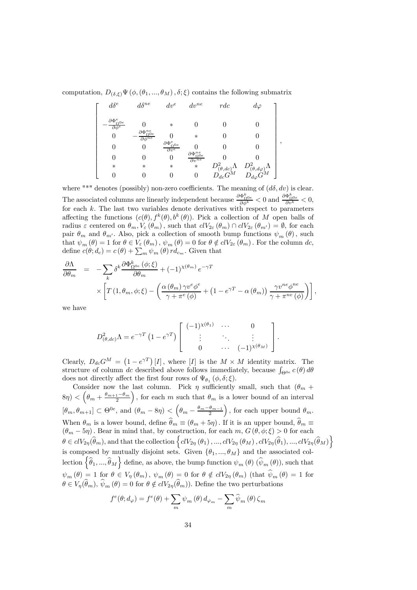computation,  $D_{(\delta,\xi)}\Psi(\phi,(\theta_1,...,\theta_M),\delta;\xi)$  contains the following submatrix

$$
\left[ \begin{array}{ccccc} d\delta^{e} & d\delta^{ne} & dv^{e} & dv^{ne} & rdc & d\varphi \\ -\frac{\partial \Phi^{e}_{\Omega^{0e}}}{\partial \phi^{e}} & 0 & * & 0 & 0 & 0 \\ 0 & -\frac{\partial \Phi^{ne}_{\Omega^{0e}}}{\partial \phi^{ne}} & 0 & * & 0 & 0 \\ 0 & 0 & \frac{\partial \Phi^{e}_{\Omega^{0e}}}{\partial v^{e}} & 0 & 0 & 0 \\ 0 & 0 & 0 & \frac{\partial \Phi^{ne}_{\Omega^{0e}}}{\partial v^{ne}} & 0 & 0 \\ * & * & * & * & \frac{D^{2}_{(\theta, dc)}\Lambda}{\partial v^{ae}} & D^{2}_{(\theta, d\varphi)}\Lambda \\ 0 & 0 & 0 & 0 & D_{dc}G^{M} & D_{d\varphi}G^{M} \end{array} \right]
$$

,

where "\*" denotes (possibly) non-zero coefficients. The meaning of  $(d\delta, dv)$  is clear. The associated columns are linearly independent because  $\frac{\partial \Phi_{\Omega^{0e}}^k}{\partial \phi^k} < 0$  and  $\frac{\partial \Phi_{\Omega^{0e}}^k}{\partial v^k} < 0$ , for each  $k$ . The last two variables denote derivatives with respect to parameters affecting the functions  $(c(\theta), f^k(\theta), b^k(\theta))$ . Pick a collection of M open balls of radius  $\varepsilon$  centered on  $\theta_m, V_{\varepsilon}(\theta_m)$ , such that  $clV_{2\varepsilon}(\theta_m) \cap clV_{2\varepsilon}(\theta_{m'}) = \emptyset$ , for each pair  $\theta_m$  and  $\theta_{m'}$ . Also, pick a collection of smooth bump functions  $\psi_m(\theta)$ , such that  $\psi_m(\theta)=1$  for  $\theta \in V_{\varepsilon}(\theta_m)$ ,  $\psi_m(\theta)=0$  for  $\theta \notin clV_{2\varepsilon}(\theta_m)$ . For the column dc, define  $c(\theta; d_c) = c(\theta) + \sum_m \psi_m(\theta) r d_{c_m}$ . Given that

$$
\frac{\partial \Lambda}{\partial \theta_m} = -\sum_{k} \delta^{k} \frac{\partial \Phi_{\Omega^{0e}}^{k}(\phi; \xi)}{\partial \theta_m} + (-1)^{\chi(\theta_m)} e^{-\gamma T}
$$
\n
$$
\times \left[ T(1, \theta_m, \phi; \xi) - \left( \frac{\alpha(\theta_m) \gamma v^e \phi^e}{\gamma + \pi^e(\phi)} + (1 - e^{\gamma T} - \alpha(\theta_m)) \frac{\gamma v^{ne} \phi^{ne}}{\gamma + \pi^{ne}(\phi)} \right) \right],
$$

we have

$$
D^2_{(\theta,dc)}\Lambda = e^{-\gamma T} \left(1 - e^{\gamma T}\right) \begin{bmatrix} (-1)^{\chi(\theta_1)} & \cdots & 0 \\ \vdots & \ddots & \vdots \\ 0 & \cdots & (-1)^{\chi(\theta_M)} \end{bmatrix}.
$$

Clearly,  $D_{dc}G^{M} = (1 - e^{\gamma T})[I]$ , where [I] is the  $M \times M$  identity matrix. The structure of column dc described above follows immediately, because  $\int_{\Theta^{0e}} c(\theta) d\theta$ does not directly affect the first four rows of  $\Psi_{\theta_1}(\phi, \delta; \xi)$ .

Consider now the last column. Pick  $\eta$  sufficiently small, such that  $(\theta_m +$  $(8\eta) < \left(\theta_m + \frac{\theta_{m+1}-\theta_m}{2}\right)$ ), for each m such that  $\theta_m$  is a lower bound of an interval  $[\theta_m, \theta_{m+1}] \subset \Theta^{0e}$ , and  $(\theta_m - 8\eta) < (\theta_m - \frac{\theta_m - \theta_{m-1}}{2})$ ), for each upper bound  $\theta_m$ . When  $\theta_m$  is a lower bound, define  $\theta_m \equiv (\theta_m + 5\eta)$ . If it is an upper bound,  $\theta_m \equiv$  $(\theta_m - 5\eta)$ . Bear in mind that, by construction, for each  $m, G(\theta, \phi; \xi) > 0$  for each  $\theta \in clV_{2\eta}(\widehat{\theta}_m)$ , and that the collection  $\left\{clV_{2\eta}(\theta_1), ..., clV_{2\eta}(\theta_M), clV_{2\eta}(\widehat{\theta}_1), ..., clV_{2\eta}(\widehat{\theta}_M)\right\}$ is composed by mutually disjoint sets. Given  $\{\theta_1, ..., \theta_M\}$  and the associated collection  $\left\{\widehat{\theta}_1, ..., \widehat{\theta}_M\right\}$  define, as above, the bump function  $\psi_m(\theta)$   $(\widehat{\psi}_m(\theta))$ , such that  $\psi_m(\theta)=1$  for  $\theta \in V_{\eta}(\theta_m)$ ,  $\psi_m(\theta)=0$  for  $\theta \notin clV_{2\eta}(\theta_m)$  (that  $\hat{\psi}_m(\theta)=1$  for  $\theta \in V_n(\widehat{\theta}_m), \widehat{\psi}_m(\theta)=0$  for  $\theta \notin clV_{2n}(\widehat{\theta}_m)$ . Define the two perturbations

$$
f^{e}(\theta; d_{\varphi}) = f^{e}(\theta) + \sum_{m} \psi_{m}(\theta) d_{\varphi_{m}} - \sum_{m} \widehat{\psi}_{m}(\theta) \zeta_{m}
$$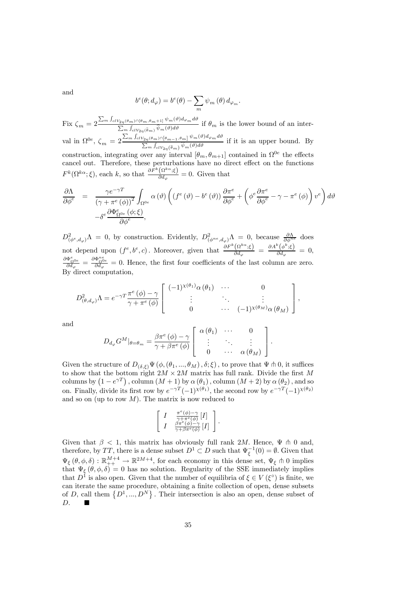and

$$
b^{e}(\theta; d_{\varphi}) = b^{e}(\theta) - \sum_{m} \psi_{m}(\theta) d_{\varphi_{m}}.
$$

Fix  $\zeta_m = 2 \frac{\sum_m \int_{clV_{2\eta}(\theta_m) \cap [\theta_m, \theta_m+1]} \psi_m(\theta) d\varphi_m d\theta}{\sum_m \int_{clV_{2\eta}(\hat{\theta}_m)} \hat{\psi}_m(\theta) d\theta}$  if  $\theta_m$  is the lower bound of an interval in  $\Omega^{0e}$ ,  $\zeta_m = 2 \frac{\sum_m \int_{clV_{2\eta}(\theta_m) \cap [\theta_{m-1}, \theta_m]} \psi_m(\vartheta) d\varphi_m d\vartheta}{\sum_m \int_{clV_{2\eta}(\widehat{\theta}_m)} \widehat{\psi}_m(\vartheta) d\vartheta}$  if it is an upper bound. By construction, integrating over any interval  $[\theta_m, \theta_{m+1}]$  contained in  $\Omega^{0e}$  the effects cancel out. Therefore, these perturbations have no direct effect on the functions  $F^k(\Omega^{k\alpha}; \xi)$ , each k, so that  $\frac{\partial F^k(\Omega^{k\alpha}; \xi)}{\partial d_\varphi} = 0$ . Given that

$$
\frac{\partial \Lambda}{\partial \phi^e} = \frac{\gamma e^{-\gamma T}}{(\gamma + \pi^e (\phi))^2} \int_{\Omega^{0e}} \alpha (\vartheta) \left( (f^e (\vartheta) - b^e (\vartheta)) \frac{\partial \pi^e}{\partial \phi^e} + \left( \phi^e \frac{\partial \pi^e}{\partial \phi^e} - \gamma - \pi^e (\phi) \right) v^e \right) d\vartheta \n- \delta^e \frac{\partial \Phi^e_{\Omega^{0e}} (\phi; \xi)}{\partial \phi^e},
$$

 $D^2_{(\phi^e,d_\varphi)}\Lambda = 0$ , by construction. Evidently,  $D^2_{(\phi^{ne},d_\varphi)}\Lambda = 0$ , because  $\frac{\partial \Lambda}{\partial \phi^{ne}}$  does not depend upon  $(f^e, b^e, c)$ . Moreover, given that  $\frac{\partial F^k(\Omega^{k\alpha}; \xi)}{\partial d_{\varphi}} = \frac{\partial A^k(\phi^k; \xi)}{\partial d_{\varphi}} = 0$ ,  $\frac{\partial \Phi_{\Omega^{0e}}^e}{\partial d_{\varphi}} = \frac{\partial \Phi_{\Omega^{0e}}^{\eta^e}}{\partial d_{\varphi}} = 0$ . Hence, the first four coefficients of the last column are zero. By direct computation,

$$
D^2_{(\theta,d_{\varphi})}\Lambda = e^{-\gamma T} \frac{\pi^e(\phi) - \gamma}{\gamma + \pi^e(\phi)} \left[ \begin{array}{ccc} (-1)^{\chi(\theta_1)}\alpha(\theta_1) & \cdots & 0 \\ \vdots & \ddots & \vdots \\ 0 & \cdots & (-1)^{\chi(\theta_M)}\alpha(\theta_M) \end{array} \right],
$$

and

$$
D_{d_{\varphi}}G^M|_{\theta=\theta_m}=\frac{\beta\pi^e(\phi)-\gamma}{\gamma+\beta\pi^e(\phi)}\left[\begin{array}{ccc}\alpha(\theta_1) & \cdots & 0 \\ \vdots & \ddots & \vdots \\ 0 & \cdots & \alpha(\theta_M)\end{array}\right].
$$

Given the structure of  $D_{(\delta,\xi)}\Psi(\phi, (\theta_1, ..., \theta_M), \delta; \xi)$ , to prove that  $\Psi \pitchfork 0$ , it suffices to show that the bottom right  $2M \times 2M$  matrix has full rank. Divide the first M columns by  $(1 - e^{\gamma T})$ , column  $(M + 1)$  by  $\alpha (\theta_1)$ , column  $(M + 2)$  by  $\alpha (\theta_2)$ , and so on. Finally, divide its first row by  $e^{-\gamma T}(-1)^{\chi(\theta_1)}$ , the second row by  $e^{-\gamma T}(-1)^{\chi(\theta_2)}$ and so on (up to row  $M$ ). The matrix is now reduced to

$$
\left[ \begin{array}{cc} I & \frac{\pi^e(\phi)-\gamma}{\gamma+\pi^e(\phi)} \left[ I \right] \\ I & \frac{\beta \pi^e(\phi)-\gamma}{\gamma+\beta \pi^e(\phi)} \left[ I \right] \end{array} \right].
$$

Given that  $\beta$  < 1, this matrix has obviously full rank 2M. Hence,  $\Psi$   $\Uparrow$  0 and, therefore, by TT, there is a dense subset  $D^1 \subset D$  such that  $\Psi_{\xi}^{-1}(0) = \emptyset$ . Given that  $\Psi_{\xi}(\theta, \phi, \delta) : \mathbb{R}^{M+4}_{++} \to \mathbb{R}^{2M+4}$ , for each economy in this dense set,  $\Psi_{\xi} \pitchfork 0$  implies that  $\Psi_{\xi}(\theta, \phi, \delta)=0$  has no solution. Regularity of the SSE immediately implies that  $D^1$  is also open. Given that the number of equilibria of  $\xi \in V(\xi^{\circ})$  is finite, we can iterate the same procedure, obtaining a finite collection of open, dense subsets of D, call them  $\{D^1, ..., D^N\}$ . Their intersection is also an open, dense subset of  $D.$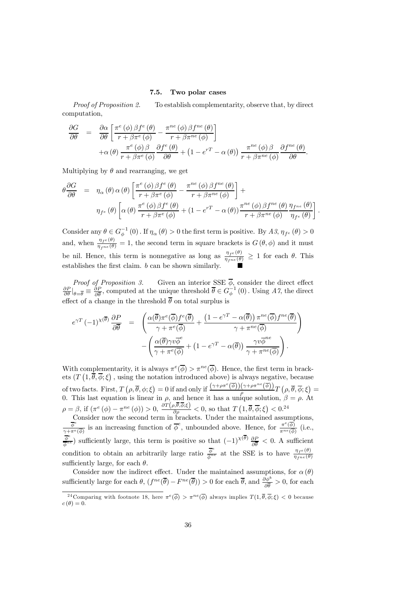# 7.5. Two polar cases

Proof of Proposition 2. To establish complementarity, observe that, by direct computation,

$$
\frac{\partial G}{\partial \theta} = \frac{\partial \alpha}{\partial \theta} \left[ \frac{\pi^{e}(\phi) \beta f^{e}(\theta)}{r + \beta \pi^{e}(\phi)} - \frac{\pi^{ne}(\phi) \beta f^{ne}(\theta)}{r + \beta \pi^{ne}(\phi)} \right] + \alpha(\theta) \frac{\pi^{e}(\phi) \beta}{r + \beta \pi^{e}(\phi)} \frac{\partial f^{e}(\theta)}{\partial \theta} + (1 - e^{rT} - \alpha(\theta)) \frac{\pi^{ne}(\phi) \beta}{r + \beta \pi^{ne}(\phi)} \frac{\partial f^{ne}(\theta)}{\partial \theta}.
$$

Multiplying by  $\theta$  and rearranging, we get

$$
\theta \frac{\partial G}{\partial \theta} = \eta_{\alpha}(\theta) \alpha(\theta) \left[ \frac{\pi^{e}(\phi) \beta f^{e}(\theta)}{r + \beta \pi^{e}(\phi)} - \frac{\pi^{ne}(\phi) \beta f^{ne}(\theta)}{r + \beta \pi^{ne}(\phi)} \right] +
$$

$$
\eta_{f^{e}}(\theta) \left[ \alpha(\theta) \frac{\pi^{e}(\phi) \beta f^{e}(\theta)}{r + \beta \pi^{e}(\phi)} + (1 - e^{rT} - \alpha(\theta)) \frac{\pi^{ne}(\phi) \beta f^{ne}(\theta)}{r + \beta \pi^{ne}(\phi)} \frac{\eta_{f^{ne}}(\theta)}{\eta_{f^{e}}(\theta)} \right]
$$

.

Consider any  $\theta \in G_{\phi}^{-1}(0)$ . If  $\eta_{\alpha}(\theta) > 0$  the first term is positive. By  $A\beta$ ,  $\eta_{f^e}(\theta) > 0$ and, when  $\frac{\eta_{fe}(\theta)}{\eta_{fne}(\theta)} = 1$ , the second term in square brackets is  $G(\theta, \phi)$  and it must be nil. Hence, this term is nonnegative as long as  $\frac{\eta_{f^e}(\theta)}{\eta_{f^ne}(\theta)} \geq 1$  for each  $\theta$ . This establishes the first claim.  $b$  can be shown similarly.

*Proof of Proposition 3.* Given an interior SSE  $\phi$ , consider the direct effect  $\frac{\partial P}{\partial \theta}|_{\theta=\overline{\theta}} \equiv \frac{\partial P}{\partial \overline{\theta}}$ , computed at the unique threshold  $\overline{\theta} \in G_{\phi}^{-1}(0)$ . Using A7, the direct effect of a change in the threshold  $\overline{\theta}$  on total surplus is

$$
e^{\gamma T} (-1)^{\chi(\overline{\theta})} \frac{\partial P}{\partial \overline{\theta}} = \left( \frac{\alpha(\overline{\theta}) \pi^e(\overline{\phi}) f^e(\overline{\theta})}{\gamma + \pi^e(\overline{\phi})} + \frac{(1 - e^{\gamma T} - \alpha(\overline{\theta})) \pi^{ne}(\overline{\phi}) f^{ne}(\overline{\theta})}{\gamma + \pi^{ne}(\overline{\phi})} \right) - \left( \frac{\alpha(\overline{\theta}) \gamma v \overline{\phi}^e}{\gamma + \pi^e(\overline{\phi})} + (1 - e^{\gamma T} - \alpha(\overline{\theta})) \frac{\gamma v \overline{\phi}^{ne}}{\gamma + \pi^{ne}(\overline{\phi})} \right).
$$

With complementarity, it is always  $\pi^e(\overline{\phi}) > \pi^{ne}(\overline{\phi})$ . Hence, the first term in brackets  $(T(1,\overline{\theta},\overline{\phi};\xi))$ , using the notation introduced above) is always negative, because  $\text{of two facts. First, } T\left(\rho, \overline{\theta}, \phi; \xi\right) = 0 \text{ if and only if } \frac{(\gamma + \rho \pi^e(\overline{\phi}))(\gamma + \rho \pi^{ne}(\overline{\phi}))}{\rho} T\left(\rho, \overline{\theta}, \overline{\phi}; \xi\right) = 0$ 0. This last equation is linear in  $\rho$ , and hence it has a unique solution,  $\beta = \rho$ . At  $\rho = \beta$ , if  $(\pi^e (\phi) - \pi^{ne} (\phi)) > 0$ ,  $\frac{\partial T(\rho, \overline{\theta}, \overline{\phi}; \xi)}{\partial \rho} < 0$ , so that  $T(1, \overline{\theta}, \overline{\phi}; \xi) < 0$ .<sup>24</sup>

Consider now the second term in brackets. Under the maintained assumptions,  $\frac{\overline{\phi}^e}{\gamma + \pi^e(\overline{\phi})}$  is an increasing function of  $\overline{\phi}^e$ , unbounded above. Hence, for  $\frac{\pi^e(\overline{\phi})}{\pi^{ne}(\overline{\phi})}$  (i.e.,  $\frac{\overline{\phi}^e}{\phi^{ne}}$ ) sufficiently large, this term is positive so that  $(-1)^{\chi(\overline{\theta})}\frac{\partial P}{\partial \overline{\theta}} < 0$ . A sufficient condition to obtain an arbitrarily large ratio  $\frac{\overline{\phi}^e}{\overline{\phi}^{ne}}$  at the SSE is to have  $\frac{\eta_{f^e}(\theta)}{\eta_{f^ne}(\theta)}$ sufficiently large, for each  $\theta$ .

Consider now the indirect effect. Under the maintained assumptions, for  $\alpha(\theta)$ sufficiently large for each  $\theta$ ,  $(f^{ne}(\overline{\theta}) - F^{ne}(\overline{\theta})) > 0$  for each  $\overline{\theta}$ , and  $\frac{\partial \phi^k}{\partial \overline{\theta}} > 0$ , for each

<sup>&</sup>lt;sup>24</sup>Comparing with footnote 18, here  $\pi^e(\overline{\phi}) > \pi^{ne}(\overline{\phi})$  always implies  $T(1, \overline{\theta}, \overline{\phi}; \xi) < 0$  because  $c(\theta)=0.$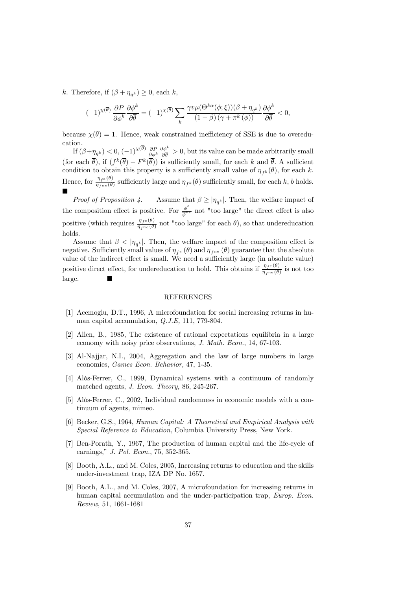k. Therefore, if  $(\beta + \eta_{q^k}) \geq 0$ , each k,

$$
(-1)^{\chi(\overline{\theta})} \frac{\partial P}{\partial \phi^k} \frac{\partial \phi^k}{\partial \overline{\theta}} = (-1)^{\chi(\overline{\theta})} \sum_k \frac{\gamma v \mu(\Theta^{k\alpha}(\overline{\phi}; \xi))(\beta + \eta_{q^k})}{(1 - \beta)(\gamma + \pi^k(\phi))} \frac{\partial \phi^k}{\partial \overline{\theta}} < 0,
$$

because  $\chi(\overline{\theta})=1$ . Hence, weak constrained inefficiency of SSE is due to overeducation.

If  $(\beta + \eta_{q^k}) < 0$ ,  $(-1)^{\chi(\theta)} \frac{\partial P}{\partial \phi^k}$  $\frac{\partial \phi^k}{\partial \overline{\theta}} > 0$ , but its value can be made arbitrarily small (for each  $\bar{\theta}$ ), if  $(f^k(\bar{\theta}) - F^k(\bar{\theta}))$  is sufficiently small, for each k and  $\bar{\theta}$ . A sufficient condition to obtain this property is a sufficiently small value of  $\eta_{f^k}(\theta)$ , for each k. Hence, for  $\frac{\eta_{f^e}(\theta)}{\eta_{f^{ne}}(\theta)}$  sufficiently large and  $\eta_{f^k}(\theta)$  sufficiently small, for each k, b holds. ¥

*Proof of Proposition 4.* Assume that  $\beta \ge |\eta_{q^k}|$ . Then, the welfare impact of the composition effect is positive. For  $\frac{\bar{\phi}^e}{\bar{\phi}^{ne}}$  not "too large" the direct effect is also positive (which requires  $\frac{\eta_{fe}(\theta)}{\eta_{fne}(\theta)}$  not "too large" for each  $\theta$ ), so that undereducation holds.

Assume that  $\beta < |\eta_{q^k}|$ . Then, the welfare impact of the composition effect is negative. Sufficiently small values of  $\eta_{fe}(\theta)$  and  $\eta_{fne}(\theta)$  guarantee that the absolute value of the indirect effect is small. We need a sufficiently large (in absolute value) positive direct effect, for undereducation to hold. This obtains if  $\frac{\eta_{fe}(\theta)}{\eta_{f^{ne}}(\theta)}$  is not too  $large.$ 

# **REFERENCES**

- [1] Acemoglu, D.T., 1996, A microfoundation for social increasing returns in human capital accumulation, Q.J.E, 111, 779-804.
- [2] Allen, B., 1985, The existence of rational expectations equilibria in a large economy with noisy price observations, J. Math. Econ., 14, 67-103.
- [3] Al-Najjar, N.I., 2004, Aggregation and the law of large numbers in large economies, Games Econ. Behavior, 47, 1-35.
- [4] Alòs-Ferrer, C., 1999, Dynamical systems with a continuum of randomly matched agents, J. Econ. Theory, 86, 245-267.
- [5] Alòs-Ferrer, C., 2002, Individual randomness in economic models with a continuum of agents, mimeo.
- [6] Becker, G.S., 1964, Human Capital: A Theoretical and Empirical Analysis with Special Reference to Education, Columbia University Press, New York.
- [7] Ben-Porath, Y., 1967, The production of human capital and the life-cycle of earnings," J. Pol. Econ., 75, 352-365.
- [8] Booth, A.L., and M. Coles, 2005, Increasing returns to education and the skills under-investment trap, IZA DP No. 1657.
- [9] Booth, A.L., and M. Coles, 2007, A microfoundation for increasing returns in human capital accumulation and the under-participation trap, *Europ. Econ.* Review, 51, 1661-1681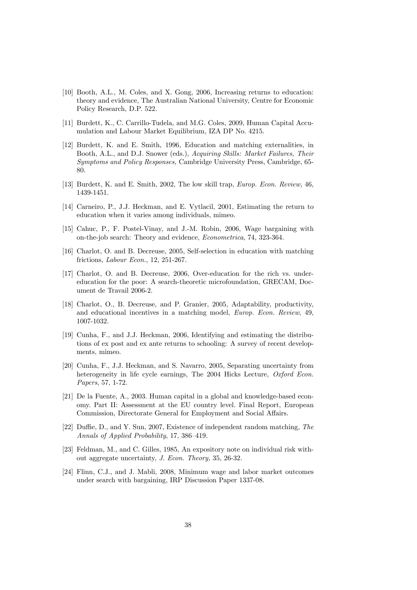- [10] Booth, A.L., M. Coles, and X. Gong, 2006, Increasing returns to education: theory and evidence, The Australian National University, Centre for Economic Policy Research, D.P. 522.
- [11] Burdett, K., C. Carrillo-Tudela, and M.G. Coles, 2009, Human Capital Accumulation and Labour Market Equilibrium, IZA DP No. 4215.
- [12] Burdett, K. and E. Smith, 1996, Education and matching externalities, in Booth, A.L., and D.J. Snower (eds.), Acquiring Skills: Market Failures, Their Symptoms and Policy Responses, Cambridge University Press, Cambridge, 65- 80.
- [13] Burdett, K. and E. Smith, 2002, The low skill trap, Europ. Econ. Review, 46, 1439-1451.
- [14] Carneiro, P., J.J. Heckman, and E. Vytlacil, 2001, Estimating the return to education when it varies among individuals, mimeo.
- [15] Cahuc, P., F. Postel-Vinay, and J.-M. Robin, 2006, Wage bargaining with on-the-job search: Theory and evidence, Econometrica, 74, 323-364.
- [16] Charlot, O. and B. Decreuse, 2005, Self-selection in education with matching frictions, Labour Econ., 12, 251-267.
- [17] Charlot, O. and B. Decreuse, 2006, Over-education for the rich vs. undereducation for the poor: A search-theoretic microfoundation, GRECAM, Document de Travail 2006-2.
- [18] Charlot, O., B. Decreuse, and P. Granier, 2005, Adaptability, productivity, and educational incentives in a matching model, Europ. Econ. Review, 49, 1007-1032.
- [19] Cunha, F., and J.J. Heckman, 2006, Identifying and estimating the distributions of ex post and ex ante returns to schooling: A survey of recent developments, mimeo.
- [20] Cunha, F., J.J. Heckman, and S. Navarro, 2005, Separating uncertainty from heterogeneity in life cycle earnings, The 2004 Hicks Lecture, Oxford Econ. Papers, 57, 1-72.
- [21] De la Fuente, A., 2003. Human capital in a global and knowledge-based economy. Part II: Assessment at the EU country level. Final Report, European Commission, Directorate General for Employment and Social Affairs.
- [22] Duffie, D., and Y. Sun, 2007, Existence of independent random matching, The Annals of Applied Probability, 17, 386—419.
- [23] Feldman, M., and C. Gilles, 1985, An expository note on individual risk without aggregate uncertainty, J. Econ. Theory, 35, 26-32.
- [24] Flinn, C.J., and J. Mabli, 2008, Minimum wage and labor market outcomes under search with bargaining, IRP Discussion Paper 1337-08.